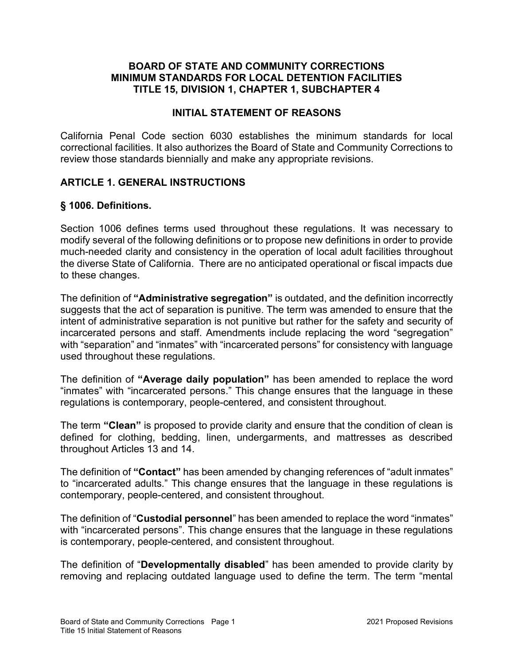### BOARD OF STATE AND COMMUNITY CORRECTIONS MINIMUM STANDARDS FOR LOCAL DETENTION FACILITIES TITLE 15, DIVISION 1, CHAPTER 1, SUBCHAPTER 4

### INITIAL STATEMENT OF REASONS

California Penal Code section 6030 establishes the minimum standards for local correctional facilities. It also authorizes the Board of State and Community Corrections to review those standards biennially and make any appropriate revisions.

### ARTICLE 1. GENERAL INSTRUCTIONS

### § 1006. Definitions.

Section 1006 defines terms used throughout these regulations. It was necessary to modify several of the following definitions or to propose new definitions in order to provide much-needed clarity and consistency in the operation of local adult facilities throughout the diverse State of California. There are no anticipated operational or fiscal impacts due to these changes.

The definition of "**Administrative segregation**" is outdated, and the definition incorrectly suggests that the act of separation is punitive. The term was amended to ensure that the intent of administrative separation is not punitive but rather for the safety and security of incarcerated persons and staff. Amendments include replacing the word "segregation" with "separation" and "inmates" with "incarcerated persons" for consistency with language used throughout these regulations.

The definition of "Average daily population" has been amended to replace the word "inmates" with "incarcerated persons." This change ensures that the language in these regulations is contemporary, people-centered, and consistent throughout.

The term "Clean" is proposed to provide clarity and ensure that the condition of clean is defined for clothing, bedding, linen, undergarments, and mattresses as described throughout Articles 13 and 14.

The definition of "Contact" has been amended by changing references of "adult inmates" to "incarcerated adults." This change ensures that the language in these regulations is contemporary, people-centered, and consistent throughout.

The definition of "Custodial personnel" has been amended to replace the word "inmates" with "incarcerated persons". This change ensures that the language in these regulations is contemporary, people-centered, and consistent throughout.

The definition of "Developmentally disabled" has been amended to provide clarity by removing and replacing outdated language used to define the term. The term "mental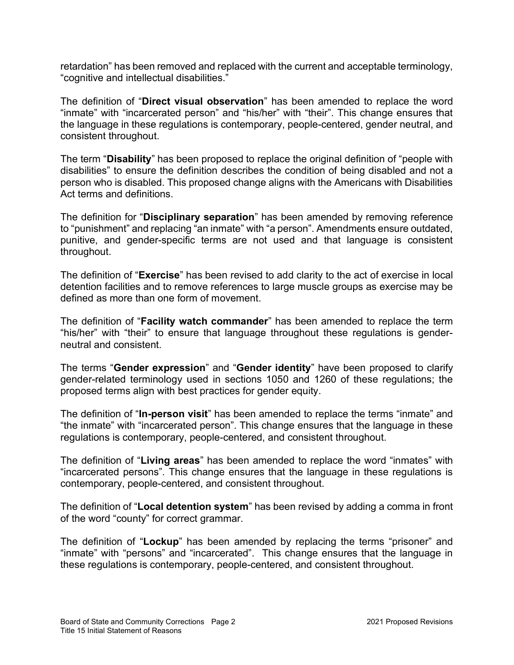retardation" has been removed and replaced with the current and acceptable terminology, "cognitive and intellectual disabilities."

The definition of "Direct visual observation" has been amended to replace the word "inmate" with "incarcerated person" and "his/her" with "their". This change ensures that the language in these regulations is contemporary, people-centered, gender neutral, and consistent throughout.

The term "Disability" has been proposed to replace the original definition of "people with disabilities" to ensure the definition describes the condition of being disabled and not a person who is disabled. This proposed change aligns with the Americans with Disabilities Act terms and definitions.

The definition for "Disciplinary separation" has been amended by removing reference to "punishment" and replacing "an inmate" with "a person". Amendments ensure outdated, punitive, and gender-specific terms are not used and that language is consistent throughout.

The definition of "Exercise" has been revised to add clarity to the act of exercise in local detention facilities and to remove references to large muscle groups as exercise may be defined as more than one form of movement.

The definition of "Facility watch commander" has been amended to replace the term "his/her" with "their" to ensure that language throughout these regulations is genderneutral and consistent.

The terms "Gender expression" and "Gender identity" have been proposed to clarify gender-related terminology used in sections 1050 and 1260 of these regulations; the proposed terms align with best practices for gender equity.

The definition of "**In-person visit**" has been amended to replace the terms "inmate" and "the inmate" with "incarcerated person". This change ensures that the language in these regulations is contemporary, people-centered, and consistent throughout.

The definition of "Living areas" has been amended to replace the word "inmates" with "incarcerated persons". This change ensures that the language in these regulations is contemporary, people-centered, and consistent throughout.

The definition of "Local detention system" has been revised by adding a comma in front of the word "county" for correct grammar.

The definition of "**Lockup**" has been amended by replacing the terms "prisoner" and "inmate" with "persons" and "incarcerated". This change ensures that the language in these regulations is contemporary, people-centered, and consistent throughout.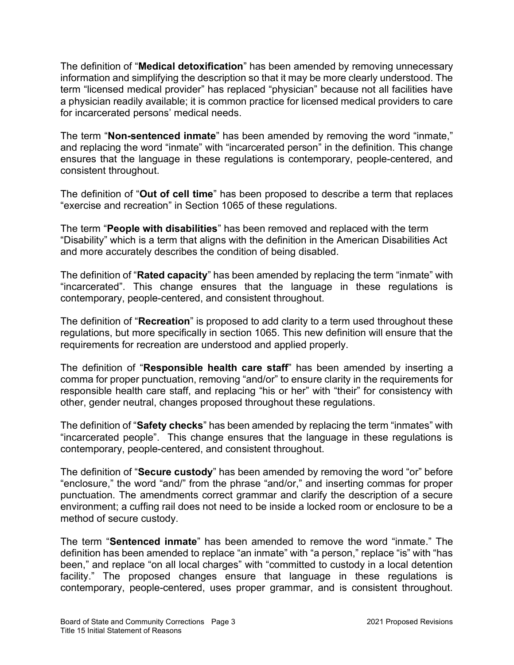The definition of "Medical detoxification" has been amended by removing unnecessary information and simplifying the description so that it may be more clearly understood. The term "licensed medical provider" has replaced "physician" because not all facilities have a physician readily available; it is common practice for licensed medical providers to care for incarcerated persons' medical needs.

The term "Non-sentenced inmate" has been amended by removing the word "inmate," and replacing the word "inmate" with "incarcerated person" in the definition. This change ensures that the language in these regulations is contemporary, people-centered, and consistent throughout.

The definition of "Out of cell time" has been proposed to describe a term that replaces "exercise and recreation" in Section 1065 of these regulations.

The term "People with disabilities" has been removed and replaced with the term "Disability" which is a term that aligns with the definition in the American Disabilities Act and more accurately describes the condition of being disabled.

The definition of "**Rated capacity**" has been amended by replacing the term "inmate" with "incarcerated". This change ensures that the language in these regulations is contemporary, people-centered, and consistent throughout.

The definition of "**Recreation**" is proposed to add clarity to a term used throughout these regulations, but more specifically in section 1065. This new definition will ensure that the requirements for recreation are understood and applied properly.

The definition of "Responsible health care staff" has been amended by inserting a comma for proper punctuation, removing "and/or" to ensure clarity in the requirements for responsible health care staff, and replacing "his or her" with "their" for consistency with other, gender neutral, changes proposed throughout these regulations.

The definition of "Safety checks" has been amended by replacing the term "inmates" with "incarcerated people". This change ensures that the language in these regulations is contemporary, people-centered, and consistent throughout.

The definition of "Secure custody" has been amended by removing the word "or" before "enclosure," the word "and/" from the phrase "and/or," and inserting commas for proper punctuation. The amendments correct grammar and clarify the description of a secure environment; a cuffing rail does not need to be inside a locked room or enclosure to be a method of secure custody.

The term "Sentenced inmate" has been amended to remove the word "inmate." The definition has been amended to replace "an inmate" with "a person," replace "is" with "has been," and replace "on all local charges" with "committed to custody in a local detention facility." The proposed changes ensure that language in these regulations is contemporary, people-centered, uses proper grammar, and is consistent throughout.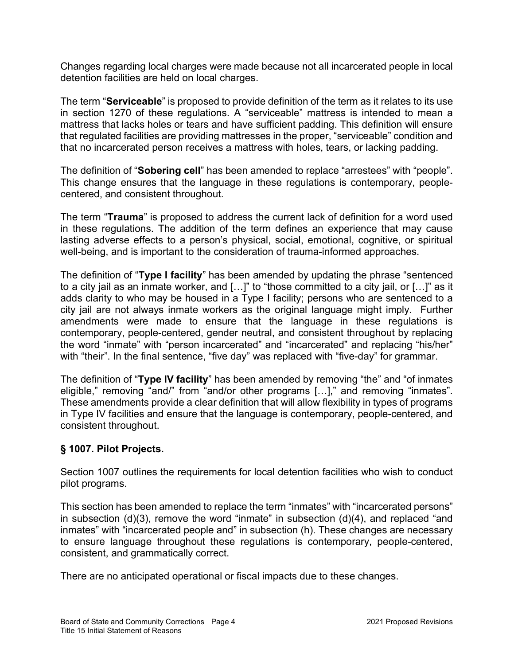Changes regarding local charges were made because not all incarcerated people in local detention facilities are held on local charges.

The term "Serviceable" is proposed to provide definition of the term as it relates to its use in section 1270 of these regulations. A "serviceable" mattress is intended to mean a mattress that lacks holes or tears and have sufficient padding. This definition will ensure that regulated facilities are providing mattresses in the proper, "serviceable" condition and that no incarcerated person receives a mattress with holes, tears, or lacking padding.

The definition of "Sobering cell" has been amended to replace "arrestees" with "people". This change ensures that the language in these regulations is contemporary, peoplecentered, and consistent throughout.

The term "Trauma" is proposed to address the current lack of definition for a word used in these regulations. The addition of the term defines an experience that may cause lasting adverse effects to a person's physical, social, emotional, cognitive, or spiritual well-being, and is important to the consideration of trauma-informed approaches.

The definition of "Type I facility" has been amended by updating the phrase "sentenced to a city jail as an inmate worker, and […]" to "those committed to a city jail, or […]" as it adds clarity to who may be housed in a Type I facility; persons who are sentenced to a city jail are not always inmate workers as the original language might imply. Further amendments were made to ensure that the language in these regulations is contemporary, people-centered, gender neutral, and consistent throughout by replacing the word "inmate" with "person incarcerated" and "incarcerated" and replacing "his/her" with "their". In the final sentence, "five day" was replaced with "five-day" for grammar.

The definition of "Type IV facility" has been amended by removing "the" and "of inmates eligible," removing "and/" from "and/or other programs […]," and removing "inmates". These amendments provide a clear definition that will allow flexibility in types of programs in Type IV facilities and ensure that the language is contemporary, people-centered, and consistent throughout.

## § 1007. Pilot Projects.

Section 1007 outlines the requirements for local detention facilities who wish to conduct pilot programs.

This section has been amended to replace the term "inmates" with "incarcerated persons" in subsection (d)(3), remove the word "inmate" in subsection (d)(4), and replaced "and inmates" with "incarcerated people and" in subsection (h). These changes are necessary to ensure language throughout these regulations is contemporary, people-centered, consistent, and grammatically correct.

There are no anticipated operational or fiscal impacts due to these changes.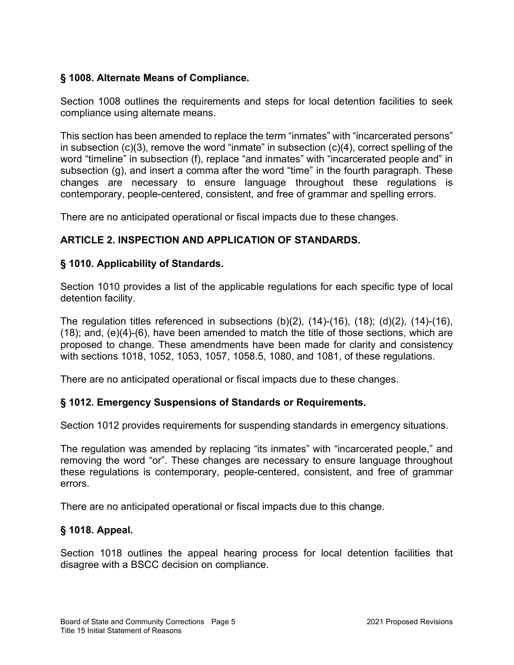## § 1008. Alternate Means of Compliance.

Section 1008 outlines the requirements and steps for local detention facilities to seek compliance using alternate means.

This section has been amended to replace the term "inmates" with "incarcerated persons" in subsection (c)(3), remove the word "inmate" in subsection (c)(4), correct spelling of the word "timeline" in subsection (f), replace "and inmates" with "incarcerated people and" in subsection (g), and insert a comma after the word "time" in the fourth paragraph. These changes are necessary to ensure language throughout these regulations is contemporary, people-centered, consistent, and free of grammar and spelling errors.

There are no anticipated operational or fiscal impacts due to these changes.

# ARTICLE 2. INSPECTION AND APPLICATION OF STANDARDS.

## § 1010. Applicability of Standards.

Section 1010 provides a list of the applicable regulations for each specific type of local detention facility.

The regulation titles referenced in subsections  $(b)(2)$ ,  $(14)-(16)$ ,  $(18)$ ;  $(d)(2)$ ,  $(14)-(16)$ , (18); and, (e)(4)-(6), have been amended to match the title of those sections, which are proposed to change. These amendments have been made for clarity and consistency with sections 1018, 1052, 1053, 1057, 1058.5, 1080, and 1081, of these regulations.

There are no anticipated operational or fiscal impacts due to these changes.

## § 1012. Emergency Suspensions of Standards or Requirements.

Section 1012 provides requirements for suspending standards in emergency situations.

The regulation was amended by replacing "its inmates" with "incarcerated people," and removing the word "or". These changes are necessary to ensure language throughout these regulations is contemporary, people-centered, consistent, and free of grammar errors.

There are no anticipated operational or fiscal impacts due to this change.

## § 1018. Appeal.

Section 1018 outlines the appeal hearing process for local detention facilities that disagree with a BSCC decision on compliance.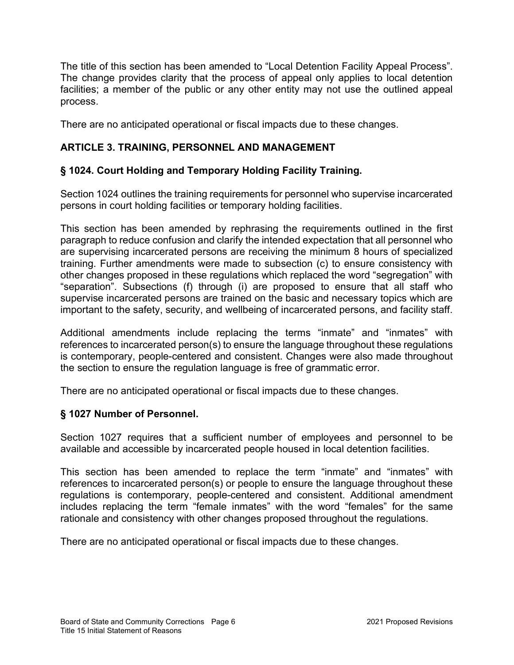The title of this section has been amended to "Local Detention Facility Appeal Process". The change provides clarity that the process of appeal only applies to local detention facilities; a member of the public or any other entity may not use the outlined appeal process.

There are no anticipated operational or fiscal impacts due to these changes.

# ARTICLE 3. TRAINING, PERSONNEL AND MANAGEMENT

## § 1024. Court Holding and Temporary Holding Facility Training.

Section 1024 outlines the training requirements for personnel who supervise incarcerated persons in court holding facilities or temporary holding facilities.

This section has been amended by rephrasing the requirements outlined in the first paragraph to reduce confusion and clarify the intended expectation that all personnel who are supervising incarcerated persons are receiving the minimum 8 hours of specialized training. Further amendments were made to subsection (c) to ensure consistency with other changes proposed in these regulations which replaced the word "segregation" with "separation". Subsections (f) through (i) are proposed to ensure that all staff who supervise incarcerated persons are trained on the basic and necessary topics which are important to the safety, security, and wellbeing of incarcerated persons, and facility staff.

Additional amendments include replacing the terms "inmate" and "inmates" with references to incarcerated person(s) to ensure the language throughout these regulations is contemporary, people-centered and consistent. Changes were also made throughout the section to ensure the regulation language is free of grammatic error.

There are no anticipated operational or fiscal impacts due to these changes.

## § 1027 Number of Personnel.

Section 1027 requires that a sufficient number of employees and personnel to be available and accessible by incarcerated people housed in local detention facilities.

This section has been amended to replace the term "inmate" and "inmates" with references to incarcerated person(s) or people to ensure the language throughout these regulations is contemporary, people-centered and consistent. Additional amendment includes replacing the term "female inmates" with the word "females" for the same rationale and consistency with other changes proposed throughout the regulations.

There are no anticipated operational or fiscal impacts due to these changes.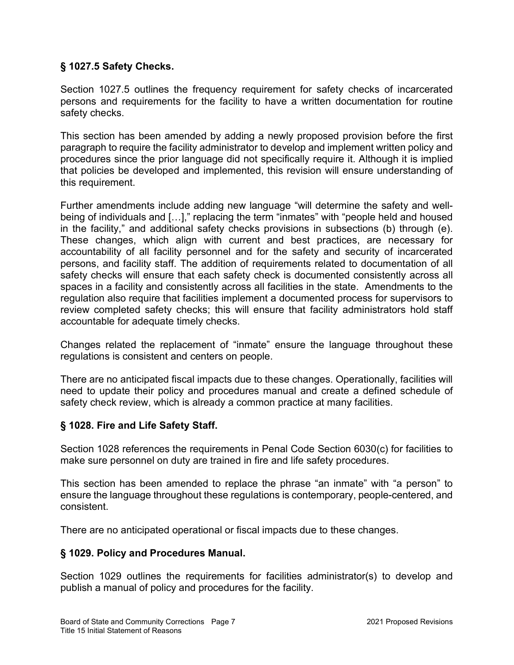## § 1027.5 Safety Checks.

Section 1027.5 outlines the frequency requirement for safety checks of incarcerated persons and requirements for the facility to have a written documentation for routine safety checks.

This section has been amended by adding a newly proposed provision before the first paragraph to require the facility administrator to develop and implement written policy and procedures since the prior language did not specifically require it. Although it is implied that policies be developed and implemented, this revision will ensure understanding of this requirement.

Further amendments include adding new language "will determine the safety and wellbeing of individuals and […]," replacing the term "inmates" with "people held and housed in the facility," and additional safety checks provisions in subsections (b) through (e). These changes, which align with current and best practices, are necessary for accountability of all facility personnel and for the safety and security of incarcerated persons, and facility staff. The addition of requirements related to documentation of all safety checks will ensure that each safety check is documented consistently across all spaces in a facility and consistently across all facilities in the state. Amendments to the regulation also require that facilities implement a documented process for supervisors to review completed safety checks; this will ensure that facility administrators hold staff accountable for adequate timely checks.

Changes related the replacement of "inmate" ensure the language throughout these regulations is consistent and centers on people.

There are no anticipated fiscal impacts due to these changes. Operationally, facilities will need to update their policy and procedures manual and create a defined schedule of safety check review, which is already a common practice at many facilities.

## § 1028. Fire and Life Safety Staff.

Section 1028 references the requirements in Penal Code Section 6030(c) for facilities to make sure personnel on duty are trained in fire and life safety procedures.

This section has been amended to replace the phrase "an inmate" with "a person" to ensure the language throughout these regulations is contemporary, people-centered, and consistent.

There are no anticipated operational or fiscal impacts due to these changes.

## § 1029. Policy and Procedures Manual.

Section 1029 outlines the requirements for facilities administrator(s) to develop and publish a manual of policy and procedures for the facility.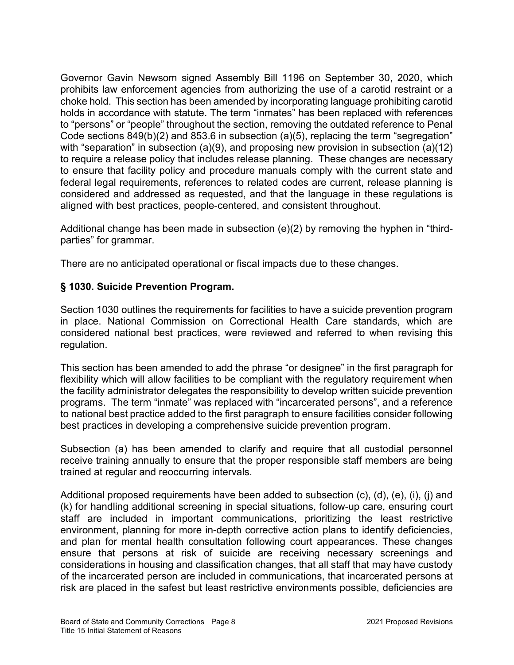Governor Gavin Newsom signed Assembly Bill 1196 on September 30, 2020, which prohibits law enforcement agencies from authorizing the use of a carotid restraint or a choke hold. This section has been amended by incorporating language prohibiting carotid holds in accordance with statute. The term "inmates" has been replaced with references to "persons" or "people" throughout the section, removing the outdated reference to Penal Code sections 849(b)(2) and 853.6 in subsection (a)(5), replacing the term "segregation" with "separation" in subsection (a)(9), and proposing new provision in subsection (a)(12) to require a release policy that includes release planning. These changes are necessary to ensure that facility policy and procedure manuals comply with the current state and federal legal requirements, references to related codes are current, release planning is considered and addressed as requested, and that the language in these regulations is aligned with best practices, people-centered, and consistent throughout.

Additional change has been made in subsection (e)(2) by removing the hyphen in "thirdparties" for grammar.

There are no anticipated operational or fiscal impacts due to these changes.

## § 1030. Suicide Prevention Program.

Section 1030 outlines the requirements for facilities to have a suicide prevention program in place. National Commission on Correctional Health Care standards, which are considered national best practices, were reviewed and referred to when revising this regulation.

This section has been amended to add the phrase "or designee" in the first paragraph for flexibility which will allow facilities to be compliant with the regulatory requirement when the facility administrator delegates the responsibility to develop written suicide prevention programs. The term "inmate" was replaced with "incarcerated persons", and a reference to national best practice added to the first paragraph to ensure facilities consider following best practices in developing a comprehensive suicide prevention program.

Subsection (a) has been amended to clarify and require that all custodial personnel receive training annually to ensure that the proper responsible staff members are being trained at regular and reoccurring intervals.

Additional proposed requirements have been added to subsection (c), (d), (e), (i), (j) and (k) for handling additional screening in special situations, follow-up care, ensuring court staff are included in important communications, prioritizing the least restrictive environment, planning for more in-depth corrective action plans to identify deficiencies, and plan for mental health consultation following court appearances. These changes ensure that persons at risk of suicide are receiving necessary screenings and considerations in housing and classification changes, that all staff that may have custody of the incarcerated person are included in communications, that incarcerated persons at risk are placed in the safest but least restrictive environments possible, deficiencies are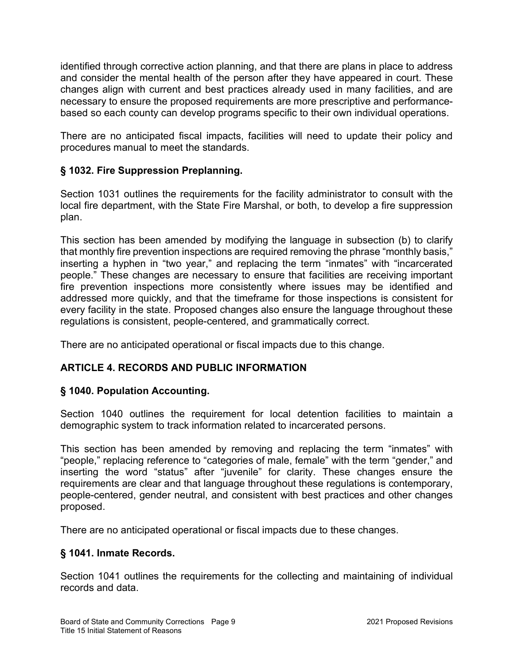identified through corrective action planning, and that there are plans in place to address and consider the mental health of the person after they have appeared in court. These changes align with current and best practices already used in many facilities, and are necessary to ensure the proposed requirements are more prescriptive and performancebased so each county can develop programs specific to their own individual operations.

There are no anticipated fiscal impacts, facilities will need to update their policy and procedures manual to meet the standards.

## § 1032. Fire Suppression Preplanning.

Section 1031 outlines the requirements for the facility administrator to consult with the local fire department, with the State Fire Marshal, or both, to develop a fire suppression plan.

This section has been amended by modifying the language in subsection (b) to clarify that monthly fire prevention inspections are required removing the phrase "monthly basis," inserting a hyphen in "two year," and replacing the term "inmates" with "incarcerated people." These changes are necessary to ensure that facilities are receiving important fire prevention inspections more consistently where issues may be identified and addressed more quickly, and that the timeframe for those inspections is consistent for every facility in the state. Proposed changes also ensure the language throughout these regulations is consistent, people-centered, and grammatically correct.

There are no anticipated operational or fiscal impacts due to this change.

## ARTICLE 4. RECORDS AND PUBLIC INFORMATION

## § 1040. Population Accounting.

Section 1040 outlines the requirement for local detention facilities to maintain a demographic system to track information related to incarcerated persons.

This section has been amended by removing and replacing the term "inmates" with "people," replacing reference to "categories of male, female" with the term "gender," and inserting the word "status" after "juvenile" for clarity. These changes ensure the requirements are clear and that language throughout these regulations is contemporary, people-centered, gender neutral, and consistent with best practices and other changes proposed.

There are no anticipated operational or fiscal impacts due to these changes.

## § 1041. Inmate Records.

Section 1041 outlines the requirements for the collecting and maintaining of individual records and data.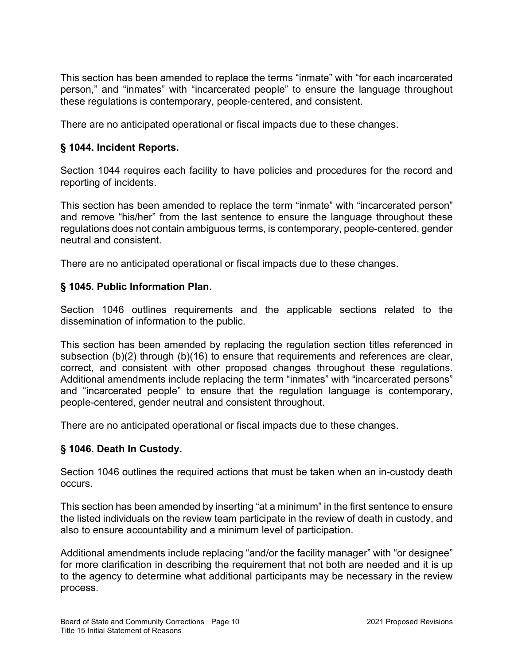This section has been amended to replace the terms "inmate" with "for each incarcerated person," and "inmates" with "incarcerated people" to ensure the language throughout these regulations is contemporary, people-centered, and consistent.

There are no anticipated operational or fiscal impacts due to these changes.

## § 1044. Incident Reports.

Section 1044 requires each facility to have policies and procedures for the record and reporting of incidents.

This section has been amended to replace the term "inmate" with "incarcerated person" and remove "his/her" from the last sentence to ensure the language throughout these regulations does not contain ambiguous terms, is contemporary, people-centered, gender neutral and consistent.

There are no anticipated operational or fiscal impacts due to these changes.

## § 1045. Public Information Plan.

Section 1046 outlines requirements and the applicable sections related to the dissemination of information to the public.

This section has been amended by replacing the regulation section titles referenced in subsection (b)(2) through (b)(16) to ensure that requirements and references are clear, correct, and consistent with other proposed changes throughout these regulations. Additional amendments include replacing the term "inmates" with "incarcerated persons" and "incarcerated people" to ensure that the regulation language is contemporary, people-centered, gender neutral and consistent throughout.

There are no anticipated operational or fiscal impacts due to these changes.

## § 1046. Death In Custody.

Section 1046 outlines the required actions that must be taken when an in-custody death occurs.

This section has been amended by inserting "at a minimum" in the first sentence to ensure the listed individuals on the review team participate in the review of death in custody, and also to ensure accountability and a minimum level of participation.

Additional amendments include replacing "and/or the facility manager" with "or designee" for more clarification in describing the requirement that not both are needed and it is up to the agency to determine what additional participants may be necessary in the review process.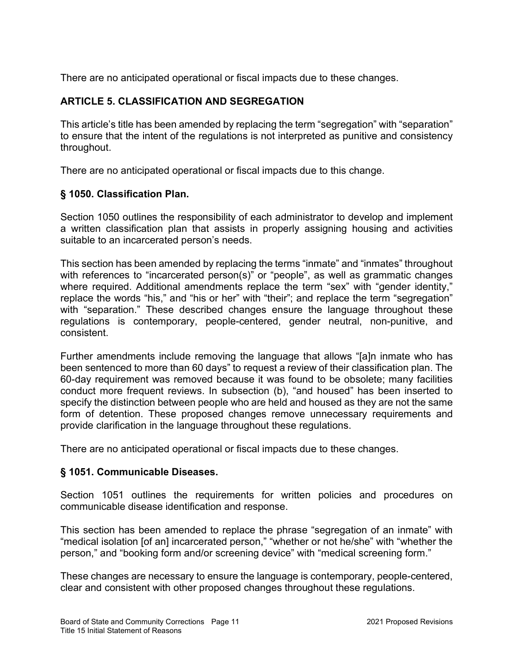There are no anticipated operational or fiscal impacts due to these changes.

## ARTICLE 5. CLASSIFICATION AND SEGREGATION

This article's title has been amended by replacing the term "segregation" with "separation" to ensure that the intent of the regulations is not interpreted as punitive and consistency throughout.

There are no anticipated operational or fiscal impacts due to this change.

# § 1050. Classification Plan.

Section 1050 outlines the responsibility of each administrator to develop and implement a written classification plan that assists in properly assigning housing and activities suitable to an incarcerated person's needs.

This section has been amended by replacing the terms "inmate" and "inmates" throughout with references to "incarcerated person(s)" or "people", as well as grammatic changes where required. Additional amendments replace the term "sex" with "gender identity," replace the words "his," and "his or her" with "their"; and replace the term "segregation" with "separation." These described changes ensure the language throughout these regulations is contemporary, people-centered, gender neutral, non-punitive, and consistent.

Further amendments include removing the language that allows "[a]n inmate who has been sentenced to more than 60 days" to request a review of their classification plan. The 60-day requirement was removed because it was found to be obsolete; many facilities conduct more frequent reviews. In subsection (b), "and housed" has been inserted to specify the distinction between people who are held and housed as they are not the same form of detention. These proposed changes remove unnecessary requirements and provide clarification in the language throughout these regulations.

There are no anticipated operational or fiscal impacts due to these changes.

## § 1051. Communicable Diseases.

Section 1051 outlines the requirements for written policies and procedures on communicable disease identification and response.

This section has been amended to replace the phrase "segregation of an inmate" with "medical isolation [of an] incarcerated person," "whether or not he/she" with "whether the person," and "booking form and/or screening device" with "medical screening form."

These changes are necessary to ensure the language is contemporary, people-centered, clear and consistent with other proposed changes throughout these regulations.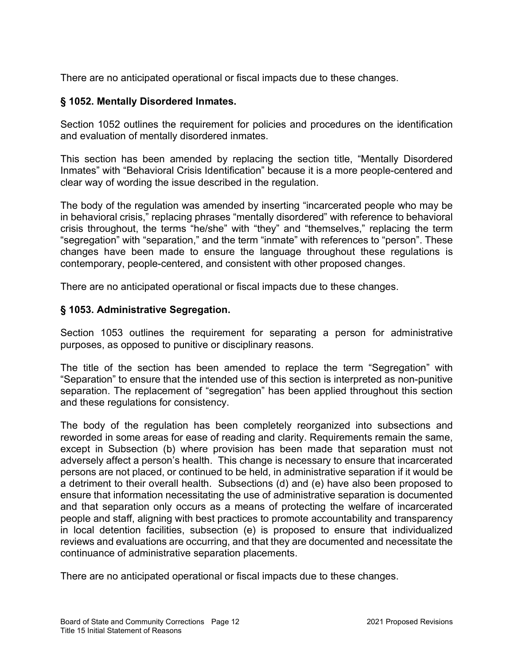There are no anticipated operational or fiscal impacts due to these changes.

### § 1052. Mentally Disordered Inmates.

Section 1052 outlines the requirement for policies and procedures on the identification and evaluation of mentally disordered inmates.

This section has been amended by replacing the section title, "Mentally Disordered Inmates" with "Behavioral Crisis Identification" because it is a more people-centered and clear way of wording the issue described in the regulation.

The body of the regulation was amended by inserting "incarcerated people who may be in behavioral crisis," replacing phrases "mentally disordered" with reference to behavioral crisis throughout, the terms "he/she" with "they" and "themselves," replacing the term "segregation" with "separation," and the term "inmate" with references to "person". These changes have been made to ensure the language throughout these regulations is contemporary, people-centered, and consistent with other proposed changes.

There are no anticipated operational or fiscal impacts due to these changes.

### § 1053. Administrative Segregation.

Section 1053 outlines the requirement for separating a person for administrative purposes, as opposed to punitive or disciplinary reasons.

The title of the section has been amended to replace the term "Segregation" with "Separation" to ensure that the intended use of this section is interpreted as non-punitive separation. The replacement of "segregation" has been applied throughout this section and these regulations for consistency.

The body of the regulation has been completely reorganized into subsections and reworded in some areas for ease of reading and clarity. Requirements remain the same, except in Subsection (b) where provision has been made that separation must not adversely affect a person's health. This change is necessary to ensure that incarcerated persons are not placed, or continued to be held, in administrative separation if it would be a detriment to their overall health. Subsections (d) and (e) have also been proposed to ensure that information necessitating the use of administrative separation is documented and that separation only occurs as a means of protecting the welfare of incarcerated people and staff, aligning with best practices to promote accountability and transparency in local detention facilities, subsection (e) is proposed to ensure that individualized reviews and evaluations are occurring, and that they are documented and necessitate the continuance of administrative separation placements.

There are no anticipated operational or fiscal impacts due to these changes.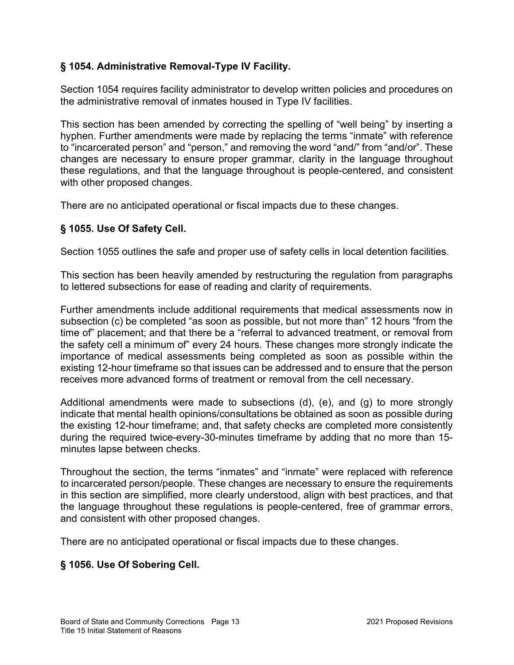## § 1054. Administrative Removal-Type IV Facility.

Section 1054 requires facility administrator to develop written policies and procedures on the administrative removal of inmates housed in Type IV facilities.

This section has been amended by correcting the spelling of "well being" by inserting a hyphen. Further amendments were made by replacing the terms "inmate" with reference to "incarcerated person" and "person," and removing the word "and/" from "and/or". These changes are necessary to ensure proper grammar, clarity in the language throughout these regulations, and that the language throughout is people-centered, and consistent with other proposed changes.

There are no anticipated operational or fiscal impacts due to these changes.

# § 1055. Use Of Safety Cell.

Section 1055 outlines the safe and proper use of safety cells in local detention facilities.

This section has been heavily amended by restructuring the regulation from paragraphs to lettered subsections for ease of reading and clarity of requirements.

Further amendments include additional requirements that medical assessments now in subsection (c) be completed "as soon as possible, but not more than" 12 hours "from the time of" placement; and that there be a "referral to advanced treatment, or removal from the safety cell a minimum of" every 24 hours. These changes more strongly indicate the importance of medical assessments being completed as soon as possible within the existing 12-hour timeframe so that issues can be addressed and to ensure that the person receives more advanced forms of treatment or removal from the cell necessary.

Additional amendments were made to subsections (d), (e), and (g) to more strongly indicate that mental health opinions/consultations be obtained as soon as possible during the existing 12-hour timeframe; and, that safety checks are completed more consistently during the required twice-every-30-minutes timeframe by adding that no more than 15 minutes lapse between checks.

Throughout the section, the terms "inmates" and "inmate" were replaced with reference to incarcerated person/people. These changes are necessary to ensure the requirements in this section are simplified, more clearly understood, align with best practices, and that the language throughout these regulations is people-centered, free of grammar errors, and consistent with other proposed changes.

There are no anticipated operational or fiscal impacts due to these changes.

# § 1056. Use Of Sobering Cell.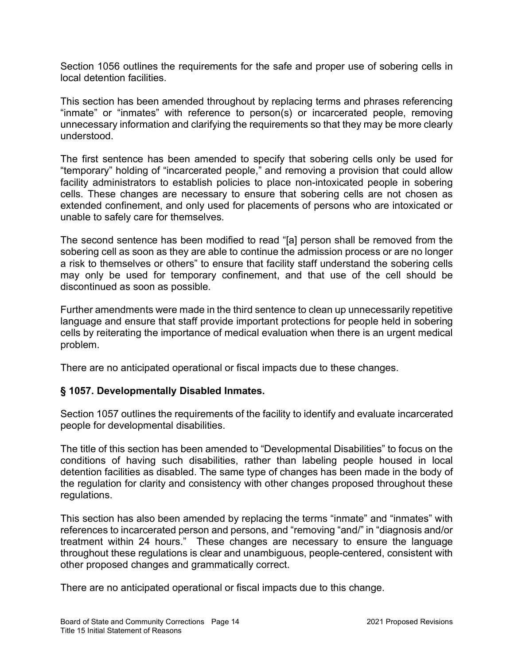Section 1056 outlines the requirements for the safe and proper use of sobering cells in local detention facilities.

This section has been amended throughout by replacing terms and phrases referencing "inmate" or "inmates" with reference to person(s) or incarcerated people, removing unnecessary information and clarifying the requirements so that they may be more clearly understood.

The first sentence has been amended to specify that sobering cells only be used for "temporary" holding of "incarcerated people," and removing a provision that could allow facility administrators to establish policies to place non-intoxicated people in sobering cells. These changes are necessary to ensure that sobering cells are not chosen as extended confinement, and only used for placements of persons who are intoxicated or unable to safely care for themselves.

The second sentence has been modified to read "[a] person shall be removed from the sobering cell as soon as they are able to continue the admission process or are no longer a risk to themselves or others" to ensure that facility staff understand the sobering cells may only be used for temporary confinement, and that use of the cell should be discontinued as soon as possible.

Further amendments were made in the third sentence to clean up unnecessarily repetitive language and ensure that staff provide important protections for people held in sobering cells by reiterating the importance of medical evaluation when there is an urgent medical problem.

There are no anticipated operational or fiscal impacts due to these changes.

### § 1057. Developmentally Disabled Inmates.

Section 1057 outlines the requirements of the facility to identify and evaluate incarcerated people for developmental disabilities.

The title of this section has been amended to "Developmental Disabilities" to focus on the conditions of having such disabilities, rather than labeling people housed in local detention facilities as disabled. The same type of changes has been made in the body of the regulation for clarity and consistency with other changes proposed throughout these regulations.

This section has also been amended by replacing the terms "inmate" and "inmates" with references to incarcerated person and persons, and "removing "and/" in "diagnosis and/or treatment within 24 hours." These changes are necessary to ensure the language throughout these regulations is clear and unambiguous, people-centered, consistent with other proposed changes and grammatically correct.

There are no anticipated operational or fiscal impacts due to this change.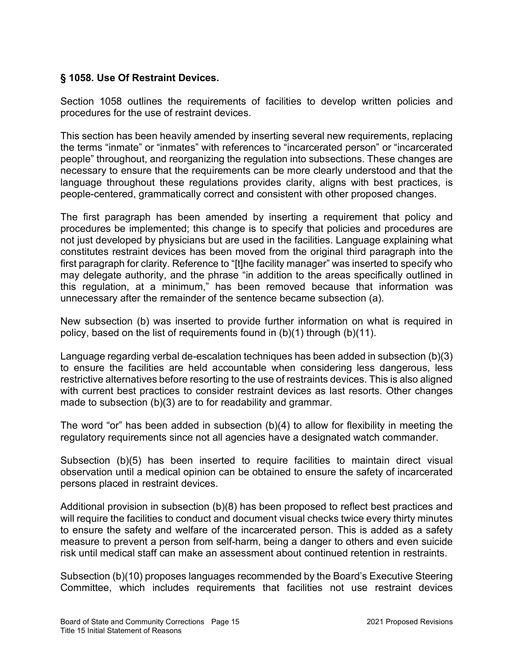## § 1058. Use Of Restraint Devices.

Section 1058 outlines the requirements of facilities to develop written policies and procedures for the use of restraint devices.

This section has been heavily amended by inserting several new requirements, replacing the terms "inmate" or "inmates" with references to "incarcerated person" or "incarcerated people" throughout, and reorganizing the regulation into subsections. These changes are necessary to ensure that the requirements can be more clearly understood and that the language throughout these regulations provides clarity, aligns with best practices, is people-centered, grammatically correct and consistent with other proposed changes.

The first paragraph has been amended by inserting a requirement that policy and procedures be implemented; this change is to specify that policies and procedures are not just developed by physicians but are used in the facilities. Language explaining what constitutes restraint devices has been moved from the original third paragraph into the first paragraph for clarity. Reference to "[t]he facility manager" was inserted to specify who may delegate authority, and the phrase "in addition to the areas specifically outlined in this regulation, at a minimum," has been removed because that information was unnecessary after the remainder of the sentence became subsection (a).

New subsection (b) was inserted to provide further information on what is required in policy, based on the list of requirements found in (b)(1) through (b)(11).

Language regarding verbal de-escalation techniques has been added in subsection (b)(3) to ensure the facilities are held accountable when considering less dangerous, less restrictive alternatives before resorting to the use of restraints devices. This is also aligned with current best practices to consider restraint devices as last resorts. Other changes made to subsection (b)(3) are to for readability and grammar.

The word "or" has been added in subsection  $(b)(4)$  to allow for flexibility in meeting the regulatory requirements since not all agencies have a designated watch commander.

Subsection (b)(5) has been inserted to require facilities to maintain direct visual observation until a medical opinion can be obtained to ensure the safety of incarcerated persons placed in restraint devices.

Additional provision in subsection (b)(8) has been proposed to reflect best practices and will require the facilities to conduct and document visual checks twice every thirty minutes to ensure the safety and welfare of the incarcerated person. This is added as a safety measure to prevent a person from self-harm, being a danger to others and even suicide risk until medical staff can make an assessment about continued retention in restraints.

Subsection (b)(10) proposes languages recommended by the Board's Executive Steering Committee, which includes requirements that facilities not use restraint devices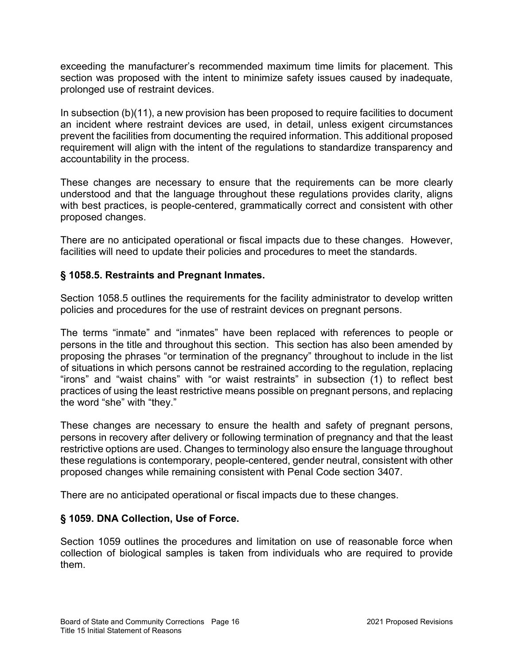exceeding the manufacturer's recommended maximum time limits for placement. This section was proposed with the intent to minimize safety issues caused by inadequate, prolonged use of restraint devices.

In subsection (b)(11), a new provision has been proposed to require facilities to document an incident where restraint devices are used, in detail, unless exigent circumstances prevent the facilities from documenting the required information. This additional proposed requirement will align with the intent of the regulations to standardize transparency and accountability in the process.

These changes are necessary to ensure that the requirements can be more clearly understood and that the language throughout these regulations provides clarity, aligns with best practices, is people-centered, grammatically correct and consistent with other proposed changes.

There are no anticipated operational or fiscal impacts due to these changes. However, facilities will need to update their policies and procedures to meet the standards.

### § 1058.5. Restraints and Pregnant Inmates.

Section 1058.5 outlines the requirements for the facility administrator to develop written policies and procedures for the use of restraint devices on pregnant persons.

The terms "inmate" and "inmates" have been replaced with references to people or persons in the title and throughout this section. This section has also been amended by proposing the phrases "or termination of the pregnancy" throughout to include in the list of situations in which persons cannot be restrained according to the regulation, replacing "irons" and "waist chains" with "or waist restraints" in subsection (1) to reflect best practices of using the least restrictive means possible on pregnant persons, and replacing the word "she" with "they."

These changes are necessary to ensure the health and safety of pregnant persons, persons in recovery after delivery or following termination of pregnancy and that the least restrictive options are used. Changes to terminology also ensure the language throughout these regulations is contemporary, people-centered, gender neutral, consistent with other proposed changes while remaining consistent with Penal Code section 3407.

There are no anticipated operational or fiscal impacts due to these changes.

## § 1059. DNA Collection, Use of Force.

Section 1059 outlines the procedures and limitation on use of reasonable force when collection of biological samples is taken from individuals who are required to provide them.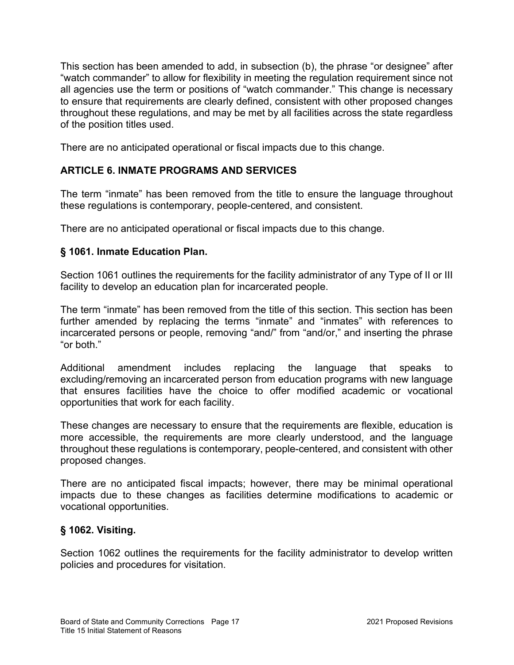This section has been amended to add, in subsection (b), the phrase "or designee" after "watch commander" to allow for flexibility in meeting the regulation requirement since not all agencies use the term or positions of "watch commander." This change is necessary to ensure that requirements are clearly defined, consistent with other proposed changes throughout these regulations, and may be met by all facilities across the state regardless of the position titles used.

There are no anticipated operational or fiscal impacts due to this change.

# ARTICLE 6. INMATE PROGRAMS AND SERVICES

The term "inmate" has been removed from the title to ensure the language throughout these regulations is contemporary, people-centered, and consistent.

There are no anticipated operational or fiscal impacts due to this change.

## § 1061. Inmate Education Plan.

Section 1061 outlines the requirements for the facility administrator of any Type of II or III facility to develop an education plan for incarcerated people.

The term "inmate" has been removed from the title of this section. This section has been further amended by replacing the terms "inmate" and "inmates" with references to incarcerated persons or people, removing "and/" from "and/or," and inserting the phrase "or both."

Additional amendment includes replacing the language that speaks to excluding/removing an incarcerated person from education programs with new language that ensures facilities have the choice to offer modified academic or vocational opportunities that work for each facility.

These changes are necessary to ensure that the requirements are flexible, education is more accessible, the requirements are more clearly understood, and the language throughout these regulations is contemporary, people-centered, and consistent with other proposed changes.

There are no anticipated fiscal impacts; however, there may be minimal operational impacts due to these changes as facilities determine modifications to academic or vocational opportunities.

# § 1062. Visiting.

Section 1062 outlines the requirements for the facility administrator to develop written policies and procedures for visitation.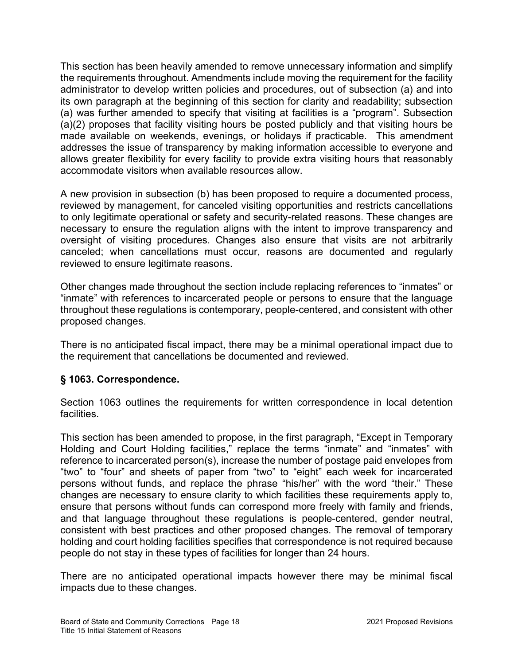This section has been heavily amended to remove unnecessary information and simplify the requirements throughout. Amendments include moving the requirement for the facility administrator to develop written policies and procedures, out of subsection (a) and into its own paragraph at the beginning of this section for clarity and readability; subsection (a) was further amended to specify that visiting at facilities is a "program". Subsection (a)(2) proposes that facility visiting hours be posted publicly and that visiting hours be made available on weekends, evenings, or holidays if practicable. This amendment addresses the issue of transparency by making information accessible to everyone and allows greater flexibility for every facility to provide extra visiting hours that reasonably accommodate visitors when available resources allow.

A new provision in subsection (b) has been proposed to require a documented process, reviewed by management, for canceled visiting opportunities and restricts cancellations to only legitimate operational or safety and security-related reasons. These changes are necessary to ensure the regulation aligns with the intent to improve transparency and oversight of visiting procedures. Changes also ensure that visits are not arbitrarily canceled; when cancellations must occur, reasons are documented and regularly reviewed to ensure legitimate reasons.

Other changes made throughout the section include replacing references to "inmates" or "inmate" with references to incarcerated people or persons to ensure that the language throughout these regulations is contemporary, people-centered, and consistent with other proposed changes.

There is no anticipated fiscal impact, there may be a minimal operational impact due to the requirement that cancellations be documented and reviewed.

## § 1063. Correspondence.

Section 1063 outlines the requirements for written correspondence in local detention facilities.

This section has been amended to propose, in the first paragraph, "Except in Temporary Holding and Court Holding facilities," replace the terms "inmate" and "inmates" with reference to incarcerated person(s), increase the number of postage paid envelopes from "two" to "four" and sheets of paper from "two" to "eight" each week for incarcerated persons without funds, and replace the phrase "his/her" with the word "their." These changes are necessary to ensure clarity to which facilities these requirements apply to, ensure that persons without funds can correspond more freely with family and friends, and that language throughout these regulations is people-centered, gender neutral, consistent with best practices and other proposed changes. The removal of temporary holding and court holding facilities specifies that correspondence is not required because people do not stay in these types of facilities for longer than 24 hours.

There are no anticipated operational impacts however there may be minimal fiscal impacts due to these changes.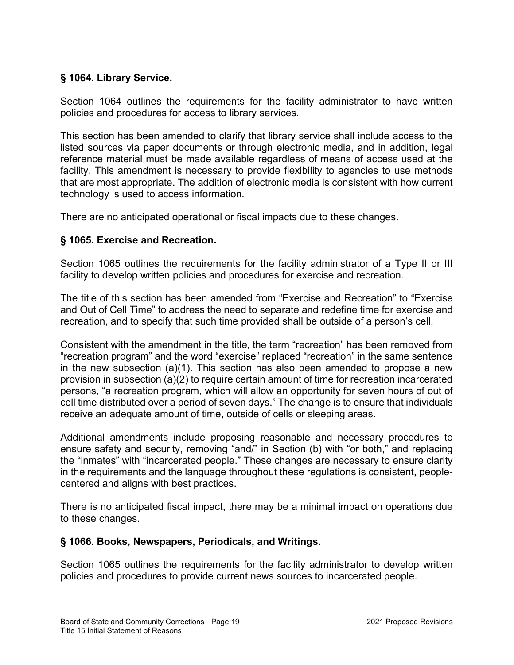## § 1064. Library Service.

Section 1064 outlines the requirements for the facility administrator to have written policies and procedures for access to library services.

This section has been amended to clarify that library service shall include access to the listed sources via paper documents or through electronic media, and in addition, legal reference material must be made available regardless of means of access used at the facility. This amendment is necessary to provide flexibility to agencies to use methods that are most appropriate. The addition of electronic media is consistent with how current technology is used to access information.

There are no anticipated operational or fiscal impacts due to these changes.

## § 1065. Exercise and Recreation.

Section 1065 outlines the requirements for the facility administrator of a Type II or III facility to develop written policies and procedures for exercise and recreation.

The title of this section has been amended from "Exercise and Recreation" to "Exercise and Out of Cell Time" to address the need to separate and redefine time for exercise and recreation, and to specify that such time provided shall be outside of a person's cell.

Consistent with the amendment in the title, the term "recreation" has been removed from "recreation program" and the word "exercise" replaced "recreation" in the same sentence in the new subsection (a)(1). This section has also been amended to propose a new provision in subsection (a)(2) to require certain amount of time for recreation incarcerated persons, "a recreation program, which will allow an opportunity for seven hours of out of cell time distributed over a period of seven days." The change is to ensure that individuals receive an adequate amount of time, outside of cells or sleeping areas.

Additional amendments include proposing reasonable and necessary procedures to ensure safety and security, removing "and/" in Section (b) with "or both," and replacing the "inmates" with "incarcerated people." These changes are necessary to ensure clarity in the requirements and the language throughout these regulations is consistent, peoplecentered and aligns with best practices.

There is no anticipated fiscal impact, there may be a minimal impact on operations due to these changes.

### § 1066. Books, Newspapers, Periodicals, and Writings.

Section 1065 outlines the requirements for the facility administrator to develop written policies and procedures to provide current news sources to incarcerated people.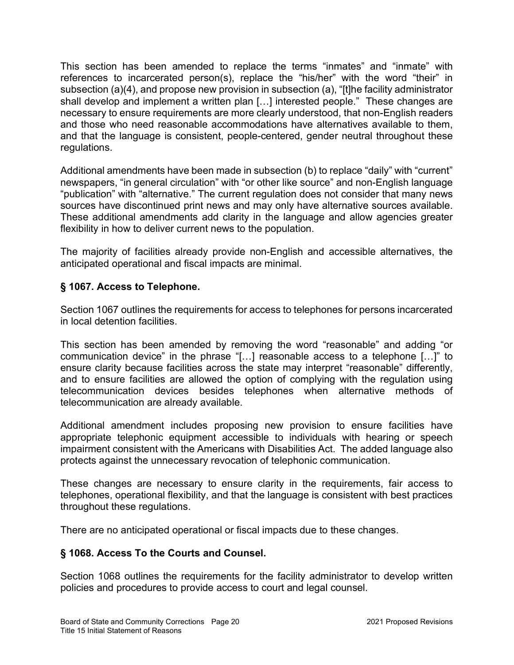This section has been amended to replace the terms "inmates" and "inmate" with references to incarcerated person(s), replace the "his/her" with the word "their" in subsection (a)(4), and propose new provision in subsection (a), "[t]he facility administrator shall develop and implement a written plan […] interested people." These changes are necessary to ensure requirements are more clearly understood, that non-English readers and those who need reasonable accommodations have alternatives available to them, and that the language is consistent, people-centered, gender neutral throughout these regulations.

Additional amendments have been made in subsection (b) to replace "daily" with "current" newspapers, "in general circulation" with "or other like source" and non-English language "publication" with "alternative." The current regulation does not consider that many news sources have discontinued print news and may only have alternative sources available. These additional amendments add clarity in the language and allow agencies greater flexibility in how to deliver current news to the population.

The majority of facilities already provide non-English and accessible alternatives, the anticipated operational and fiscal impacts are minimal.

## § 1067. Access to Telephone.

Section 1067 outlines the requirements for access to telephones for persons incarcerated in local detention facilities.

This section has been amended by removing the word "reasonable" and adding "or communication device" in the phrase "[…] reasonable access to a telephone […]" to ensure clarity because facilities across the state may interpret "reasonable" differently, and to ensure facilities are allowed the option of complying with the regulation using telecommunication devices besides telephones when alternative methods of telecommunication are already available.

Additional amendment includes proposing new provision to ensure facilities have appropriate telephonic equipment accessible to individuals with hearing or speech impairment consistent with the Americans with Disabilities Act. The added language also protects against the unnecessary revocation of telephonic communication.

These changes are necessary to ensure clarity in the requirements, fair access to telephones, operational flexibility, and that the language is consistent with best practices throughout these regulations.

There are no anticipated operational or fiscal impacts due to these changes.

# § 1068. Access To the Courts and Counsel.

Section 1068 outlines the requirements for the facility administrator to develop written policies and procedures to provide access to court and legal counsel.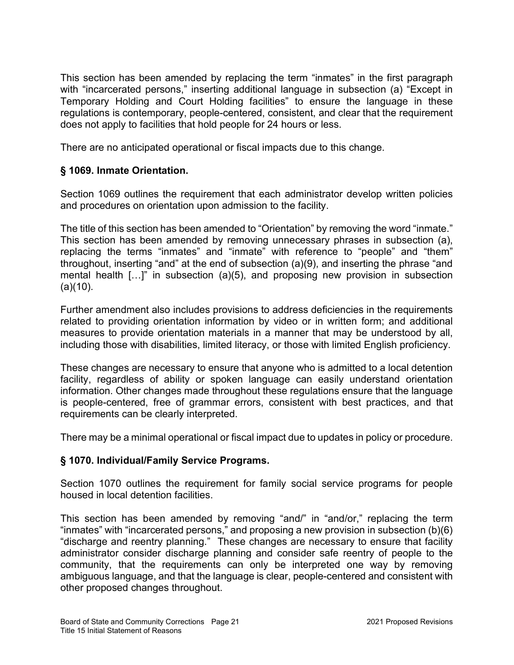This section has been amended by replacing the term "inmates" in the first paragraph with "incarcerated persons," inserting additional language in subsection (a) "Except in Temporary Holding and Court Holding facilities" to ensure the language in these regulations is contemporary, people-centered, consistent, and clear that the requirement does not apply to facilities that hold people for 24 hours or less.

There are no anticipated operational or fiscal impacts due to this change.

# § 1069. Inmate Orientation.

Section 1069 outlines the requirement that each administrator develop written policies and procedures on orientation upon admission to the facility.

The title of this section has been amended to "Orientation" by removing the word "inmate." This section has been amended by removing unnecessary phrases in subsection (a), replacing the terms "inmates" and "inmate" with reference to "people" and "them" throughout, inserting "and" at the end of subsection (a)(9), and inserting the phrase "and mental health […]" in subsection (a)(5), and proposing new provision in subsection  $(a)(10)$ .

Further amendment also includes provisions to address deficiencies in the requirements related to providing orientation information by video or in written form; and additional measures to provide orientation materials in a manner that may be understood by all, including those with disabilities, limited literacy, or those with limited English proficiency.

These changes are necessary to ensure that anyone who is admitted to a local detention facility, regardless of ability or spoken language can easily understand orientation information. Other changes made throughout these regulations ensure that the language is people-centered, free of grammar errors, consistent with best practices, and that requirements can be clearly interpreted.

There may be a minimal operational or fiscal impact due to updates in policy or procedure.

## § 1070. Individual/Family Service Programs.

Section 1070 outlines the requirement for family social service programs for people housed in local detention facilities.

This section has been amended by removing "and/" in "and/or," replacing the term "inmates" with "incarcerated persons," and proposing a new provision in subsection (b)(6) "discharge and reentry planning." These changes are necessary to ensure that facility administrator consider discharge planning and consider safe reentry of people to the community, that the requirements can only be interpreted one way by removing ambiguous language, and that the language is clear, people-centered and consistent with other proposed changes throughout.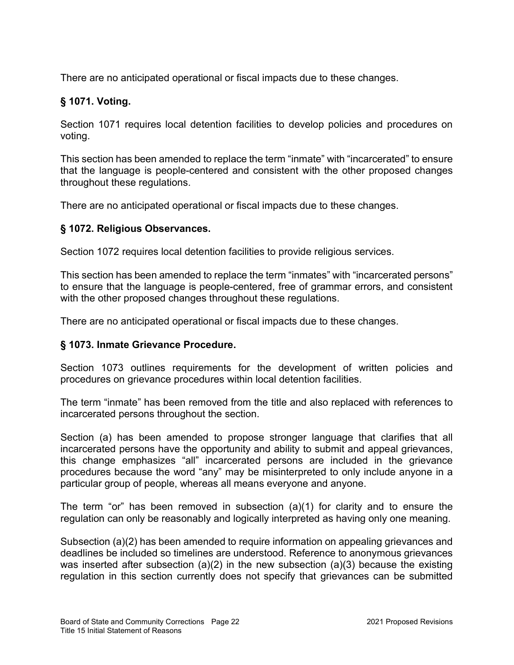There are no anticipated operational or fiscal impacts due to these changes.

## § 1071. Voting.

Section 1071 requires local detention facilities to develop policies and procedures on voting.

This section has been amended to replace the term "inmate" with "incarcerated" to ensure that the language is people-centered and consistent with the other proposed changes throughout these regulations.

There are no anticipated operational or fiscal impacts due to these changes.

## § 1072. Religious Observances.

Section 1072 requires local detention facilities to provide religious services.

This section has been amended to replace the term "inmates" with "incarcerated persons" to ensure that the language is people-centered, free of grammar errors, and consistent with the other proposed changes throughout these regulations.

There are no anticipated operational or fiscal impacts due to these changes.

## § 1073. Inmate Grievance Procedure.

Section 1073 outlines requirements for the development of written policies and procedures on grievance procedures within local detention facilities.

The term "inmate" has been removed from the title and also replaced with references to incarcerated persons throughout the section.

Section (a) has been amended to propose stronger language that clarifies that all incarcerated persons have the opportunity and ability to submit and appeal grievances, this change emphasizes "all" incarcerated persons are included in the grievance procedures because the word "any" may be misinterpreted to only include anyone in a particular group of people, whereas all means everyone and anyone.

The term "or" has been removed in subsection (a)(1) for clarity and to ensure the regulation can only be reasonably and logically interpreted as having only one meaning.

Subsection (a)(2) has been amended to require information on appealing grievances and deadlines be included so timelines are understood. Reference to anonymous grievances was inserted after subsection (a)(2) in the new subsection (a)(3) because the existing regulation in this section currently does not specify that grievances can be submitted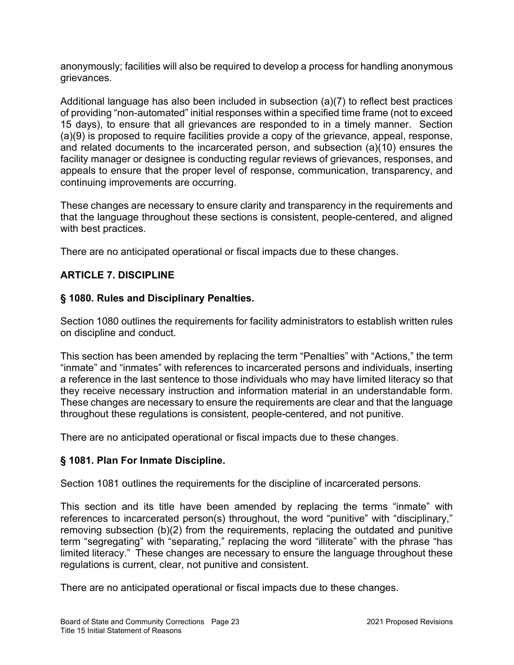anonymously; facilities will also be required to develop a process for handling anonymous grievances.

Additional language has also been included in subsection (a)(7) to reflect best practices of providing "non-automated" initial responses within a specified time frame (not to exceed 15 days), to ensure that all grievances are responded to in a timely manner. Section (a)(9) is proposed to require facilities provide a copy of the grievance, appeal, response, and related documents to the incarcerated person, and subsection (a)(10) ensures the facility manager or designee is conducting regular reviews of grievances, responses, and appeals to ensure that the proper level of response, communication, transparency, and continuing improvements are occurring.

These changes are necessary to ensure clarity and transparency in the requirements and that the language throughout these sections is consistent, people-centered, and aligned with best practices.

There are no anticipated operational or fiscal impacts due to these changes.

## ARTICLE 7. DISCIPLINE

### § 1080. Rules and Disciplinary Penalties.

Section 1080 outlines the requirements for facility administrators to establish written rules on discipline and conduct.

This section has been amended by replacing the term "Penalties" with "Actions," the term "inmate" and "inmates" with references to incarcerated persons and individuals, inserting a reference in the last sentence to those individuals who may have limited literacy so that they receive necessary instruction and information material in an understandable form. These changes are necessary to ensure the requirements are clear and that the language throughout these regulations is consistent, people-centered, and not punitive.

There are no anticipated operational or fiscal impacts due to these changes.

### § 1081. Plan For Inmate Discipline.

Section 1081 outlines the requirements for the discipline of incarcerated persons.

This section and its title have been amended by replacing the terms "inmate" with references to incarcerated person(s) throughout, the word "punitive" with "disciplinary," removing subsection (b)(2) from the requirements, replacing the outdated and punitive term "segregating" with "separating," replacing the word "illiterate" with the phrase "has limited literacy." These changes are necessary to ensure the language throughout these regulations is current, clear, not punitive and consistent.

There are no anticipated operational or fiscal impacts due to these changes.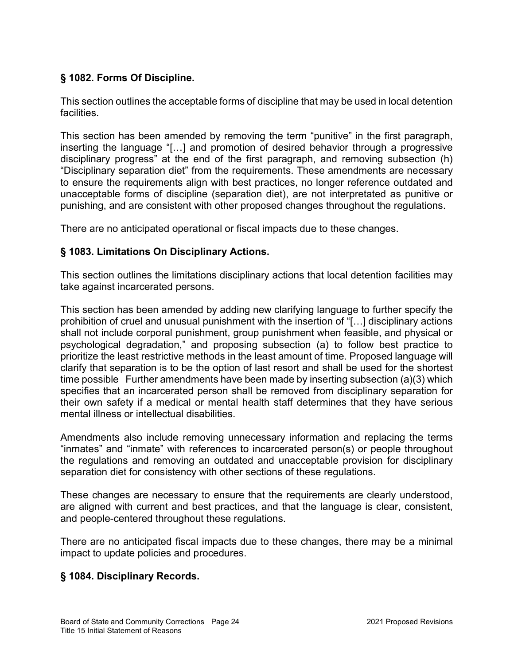# § 1082. Forms Of Discipline.

This section outlines the acceptable forms of discipline that may be used in local detention facilities.

This section has been amended by removing the term "punitive" in the first paragraph, inserting the language "[…] and promotion of desired behavior through a progressive disciplinary progress" at the end of the first paragraph, and removing subsection (h) "Disciplinary separation diet" from the requirements. These amendments are necessary to ensure the requirements align with best practices, no longer reference outdated and unacceptable forms of discipline (separation diet), are not interpretated as punitive or punishing, and are consistent with other proposed changes throughout the regulations.

There are no anticipated operational or fiscal impacts due to these changes.

## § 1083. Limitations On Disciplinary Actions.

This section outlines the limitations disciplinary actions that local detention facilities may take against incarcerated persons.

This section has been amended by adding new clarifying language to further specify the prohibition of cruel and unusual punishment with the insertion of "[…] disciplinary actions shall not include corporal punishment, group punishment when feasible, and physical or psychological degradation," and proposing subsection (a) to follow best practice to prioritize the least restrictive methods in the least amount of time. Proposed language will clarify that separation is to be the option of last resort and shall be used for the shortest time possible Further amendments have been made by inserting subsection (a)(3) which specifies that an incarcerated person shall be removed from disciplinary separation for their own safety if a medical or mental health staff determines that they have serious mental illness or intellectual disabilities.

Amendments also include removing unnecessary information and replacing the terms "inmates" and "inmate" with references to incarcerated person(s) or people throughout the regulations and removing an outdated and unacceptable provision for disciplinary separation diet for consistency with other sections of these regulations.

These changes are necessary to ensure that the requirements are clearly understood, are aligned with current and best practices, and that the language is clear, consistent, and people-centered throughout these regulations.

There are no anticipated fiscal impacts due to these changes, there may be a minimal impact to update policies and procedures.

## § 1084. Disciplinary Records.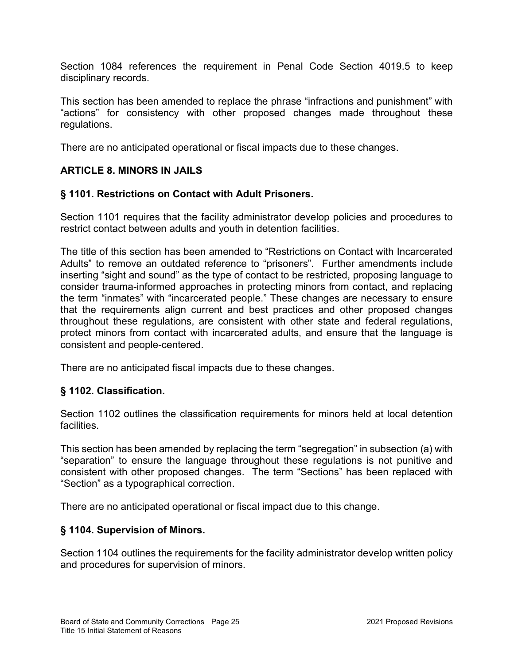Section 1084 references the requirement in Penal Code Section 4019.5 to keep disciplinary records.

This section has been amended to replace the phrase "infractions and punishment" with "actions" for consistency with other proposed changes made throughout these regulations.

There are no anticipated operational or fiscal impacts due to these changes.

# ARTICLE 8. MINORS IN JAILS

### § 1101. Restrictions on Contact with Adult Prisoners.

Section 1101 requires that the facility administrator develop policies and procedures to restrict contact between adults and youth in detention facilities.

The title of this section has been amended to "Restrictions on Contact with Incarcerated Adults" to remove an outdated reference to "prisoners". Further amendments include inserting "sight and sound" as the type of contact to be restricted, proposing language to consider trauma-informed approaches in protecting minors from contact, and replacing the term "inmates" with "incarcerated people." These changes are necessary to ensure that the requirements align current and best practices and other proposed changes throughout these regulations, are consistent with other state and federal regulations, protect minors from contact with incarcerated adults, and ensure that the language is consistent and people-centered.

There are no anticipated fiscal impacts due to these changes.

## § 1102. Classification.

Section 1102 outlines the classification requirements for minors held at local detention facilities.

This section has been amended by replacing the term "segregation" in subsection (a) with "separation" to ensure the language throughout these regulations is not punitive and consistent with other proposed changes. The term "Sections" has been replaced with "Section" as a typographical correction.

There are no anticipated operational or fiscal impact due to this change.

### § 1104. Supervision of Minors.

Section 1104 outlines the requirements for the facility administrator develop written policy and procedures for supervision of minors.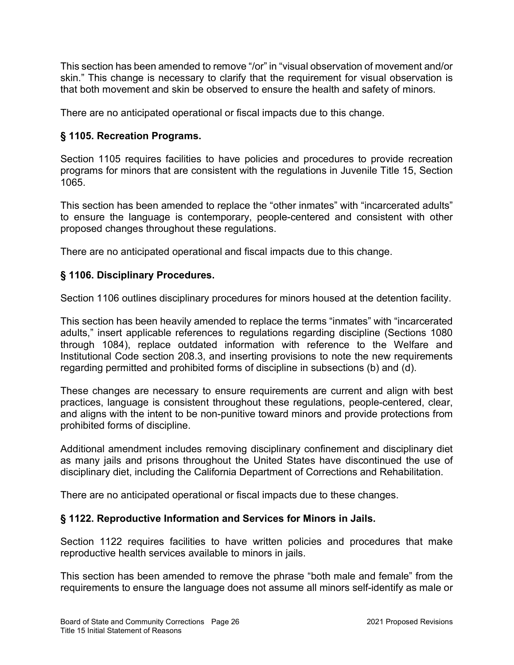This section has been amended to remove "/or" in "visual observation of movement and/or skin." This change is necessary to clarify that the requirement for visual observation is that both movement and skin be observed to ensure the health and safety of minors.

There are no anticipated operational or fiscal impacts due to this change.

## § 1105. Recreation Programs.

Section 1105 requires facilities to have policies and procedures to provide recreation programs for minors that are consistent with the regulations in Juvenile Title 15, Section 1065.

This section has been amended to replace the "other inmates" with "incarcerated adults" to ensure the language is contemporary, people-centered and consistent with other proposed changes throughout these regulations.

There are no anticipated operational and fiscal impacts due to this change.

## § 1106. Disciplinary Procedures.

Section 1106 outlines disciplinary procedures for minors housed at the detention facility.

This section has been heavily amended to replace the terms "inmates" with "incarcerated adults," insert applicable references to regulations regarding discipline (Sections 1080 through 1084), replace outdated information with reference to the Welfare and Institutional Code section 208.3, and inserting provisions to note the new requirements regarding permitted and prohibited forms of discipline in subsections (b) and (d).

These changes are necessary to ensure requirements are current and align with best practices, language is consistent throughout these regulations, people-centered, clear, and aligns with the intent to be non-punitive toward minors and provide protections from prohibited forms of discipline.

Additional amendment includes removing disciplinary confinement and disciplinary diet as many jails and prisons throughout the United States have discontinued the use of disciplinary diet, including the California Department of Corrections and Rehabilitation.

There are no anticipated operational or fiscal impacts due to these changes.

## § 1122. Reproductive Information and Services for Minors in Jails.

Section 1122 requires facilities to have written policies and procedures that make reproductive health services available to minors in jails.

This section has been amended to remove the phrase "both male and female" from the requirements to ensure the language does not assume all minors self-identify as male or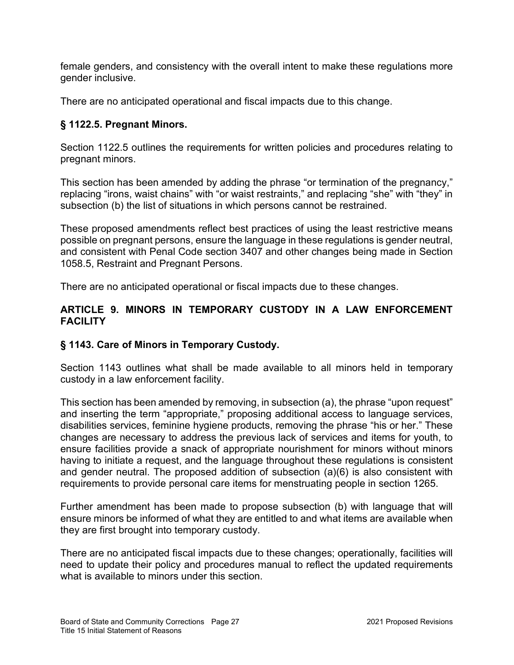female genders, and consistency with the overall intent to make these regulations more gender inclusive.

There are no anticipated operational and fiscal impacts due to this change.

# § 1122.5. Pregnant Minors.

Section 1122.5 outlines the requirements for written policies and procedures relating to pregnant minors.

This section has been amended by adding the phrase "or termination of the pregnancy," replacing "irons, waist chains" with "or waist restraints," and replacing "she" with "they" in subsection (b) the list of situations in which persons cannot be restrained.

These proposed amendments reflect best practices of using the least restrictive means possible on pregnant persons, ensure the language in these regulations is gender neutral, and consistent with Penal Code section 3407 and other changes being made in Section 1058.5, Restraint and Pregnant Persons.

There are no anticipated operational or fiscal impacts due to these changes.

## ARTICLE 9. MINORS IN TEMPORARY CUSTODY IN A LAW ENFORCEMENT **FACILITY**

## § 1143. Care of Minors in Temporary Custody.

Section 1143 outlines what shall be made available to all minors held in temporary custody in a law enforcement facility.

This section has been amended by removing, in subsection (a), the phrase "upon request" and inserting the term "appropriate," proposing additional access to language services, disabilities services, feminine hygiene products, removing the phrase "his or her." These changes are necessary to address the previous lack of services and items for youth, to ensure facilities provide a snack of appropriate nourishment for minors without minors having to initiate a request, and the language throughout these regulations is consistent and gender neutral. The proposed addition of subsection (a)(6) is also consistent with requirements to provide personal care items for menstruating people in section 1265.

Further amendment has been made to propose subsection (b) with language that will ensure minors be informed of what they are entitled to and what items are available when they are first brought into temporary custody.

There are no anticipated fiscal impacts due to these changes; operationally, facilities will need to update their policy and procedures manual to reflect the updated requirements what is available to minors under this section.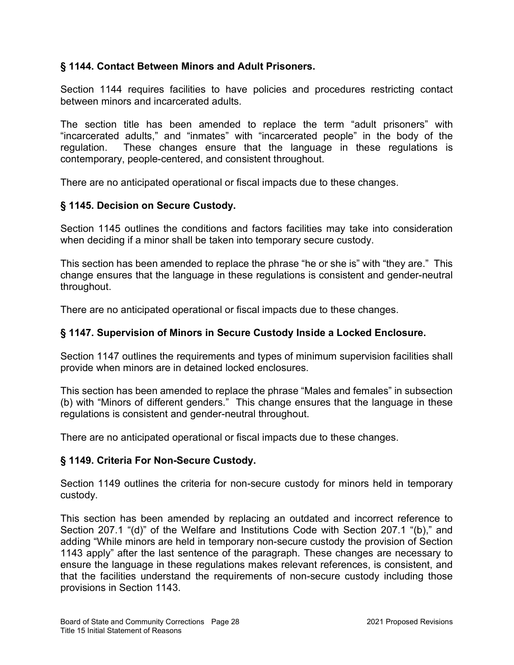### § 1144. Contact Between Minors and Adult Prisoners.

Section 1144 requires facilities to have policies and procedures restricting contact between minors and incarcerated adults.

The section title has been amended to replace the term "adult prisoners" with "incarcerated adults," and "inmates" with "incarcerated people" in the body of the regulation. These changes ensure that the language in these regulations is contemporary, people-centered, and consistent throughout.

There are no anticipated operational or fiscal impacts due to these changes.

### § 1145. Decision on Secure Custody.

Section 1145 outlines the conditions and factors facilities may take into consideration when deciding if a minor shall be taken into temporary secure custody.

This section has been amended to replace the phrase "he or she is" with "they are." This change ensures that the language in these regulations is consistent and gender-neutral throughout.

There are no anticipated operational or fiscal impacts due to these changes.

### § 1147. Supervision of Minors in Secure Custody Inside a Locked Enclosure.

Section 1147 outlines the requirements and types of minimum supervision facilities shall provide when minors are in detained locked enclosures.

This section has been amended to replace the phrase "Males and females" in subsection (b) with "Minors of different genders." This change ensures that the language in these regulations is consistent and gender-neutral throughout.

There are no anticipated operational or fiscal impacts due to these changes.

### § 1149. Criteria For Non-Secure Custody.

Section 1149 outlines the criteria for non-secure custody for minors held in temporary custody.

This section has been amended by replacing an outdated and incorrect reference to Section 207.1 "(d)" of the Welfare and Institutions Code with Section 207.1 "(b)," and adding "While minors are held in temporary non-secure custody the provision of Section 1143 apply" after the last sentence of the paragraph. These changes are necessary to ensure the language in these regulations makes relevant references, is consistent, and that the facilities understand the requirements of non-secure custody including those provisions in Section 1143.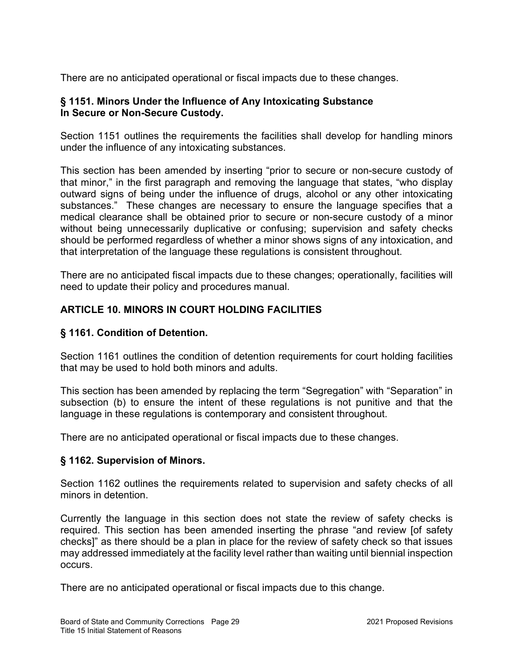There are no anticipated operational or fiscal impacts due to these changes.

### § 1151. Minors Under the Influence of Any Intoxicating Substance In Secure or Non-Secure Custody.

Section 1151 outlines the requirements the facilities shall develop for handling minors under the influence of any intoxicating substances.

This section has been amended by inserting "prior to secure or non-secure custody of that minor," in the first paragraph and removing the language that states, "who display outward signs of being under the influence of drugs, alcohol or any other intoxicating substances." These changes are necessary to ensure the language specifies that a medical clearance shall be obtained prior to secure or non-secure custody of a minor without being unnecessarily duplicative or confusing; supervision and safety checks should be performed regardless of whether a minor shows signs of any intoxication, and that interpretation of the language these regulations is consistent throughout.

There are no anticipated fiscal impacts due to these changes; operationally, facilities will need to update their policy and procedures manual.

# ARTICLE 10. MINORS IN COURT HOLDING FACILITIES

## § 1161. Condition of Detention.

Section 1161 outlines the condition of detention requirements for court holding facilities that may be used to hold both minors and adults.

This section has been amended by replacing the term "Segregation" with "Separation" in subsection (b) to ensure the intent of these regulations is not punitive and that the language in these regulations is contemporary and consistent throughout.

There are no anticipated operational or fiscal impacts due to these changes.

### § 1162. Supervision of Minors.

Section 1162 outlines the requirements related to supervision and safety checks of all minors in detention.

Currently the language in this section does not state the review of safety checks is required. This section has been amended inserting the phrase "and review [of safety checks]" as there should be a plan in place for the review of safety check so that issues may addressed immediately at the facility level rather than waiting until biennial inspection occurs.

There are no anticipated operational or fiscal impacts due to this change.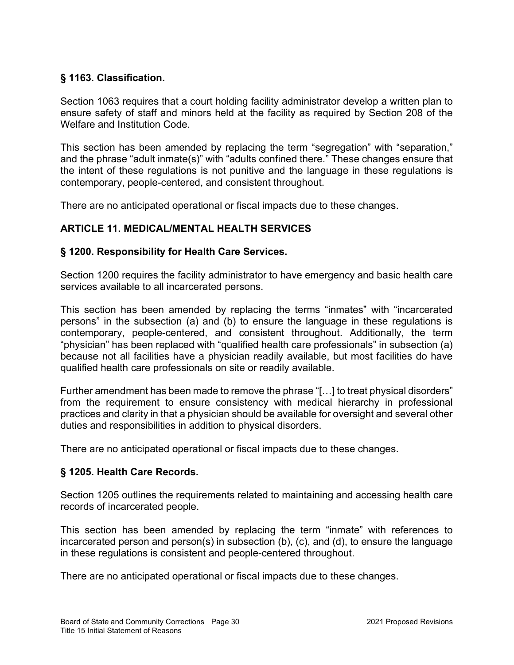## § 1163. Classification.

Section 1063 requires that a court holding facility administrator develop a written plan to ensure safety of staff and minors held at the facility as required by Section 208 of the Welfare and Institution Code.

This section has been amended by replacing the term "segregation" with "separation," and the phrase "adult inmate(s)" with "adults confined there." These changes ensure that the intent of these regulations is not punitive and the language in these regulations is contemporary, people-centered, and consistent throughout.

There are no anticipated operational or fiscal impacts due to these changes.

# ARTICLE 11. MEDICAL/MENTAL HEALTH SERVICES

## § 1200. Responsibility for Health Care Services.

Section 1200 requires the facility administrator to have emergency and basic health care services available to all incarcerated persons.

This section has been amended by replacing the terms "inmates" with "incarcerated persons" in the subsection (a) and (b) to ensure the language in these regulations is contemporary, people-centered, and consistent throughout. Additionally, the term "physician" has been replaced with "qualified health care professionals" in subsection (a) because not all facilities have a physician readily available, but most facilities do have qualified health care professionals on site or readily available.

Further amendment has been made to remove the phrase "[…] to treat physical disorders" from the requirement to ensure consistency with medical hierarchy in professional practices and clarity in that a physician should be available for oversight and several other duties and responsibilities in addition to physical disorders.

There are no anticipated operational or fiscal impacts due to these changes.

## § 1205. Health Care Records.

Section 1205 outlines the requirements related to maintaining and accessing health care records of incarcerated people.

This section has been amended by replacing the term "inmate" with references to incarcerated person and person(s) in subsection (b), (c), and (d), to ensure the language in these regulations is consistent and people-centered throughout.

There are no anticipated operational or fiscal impacts due to these changes.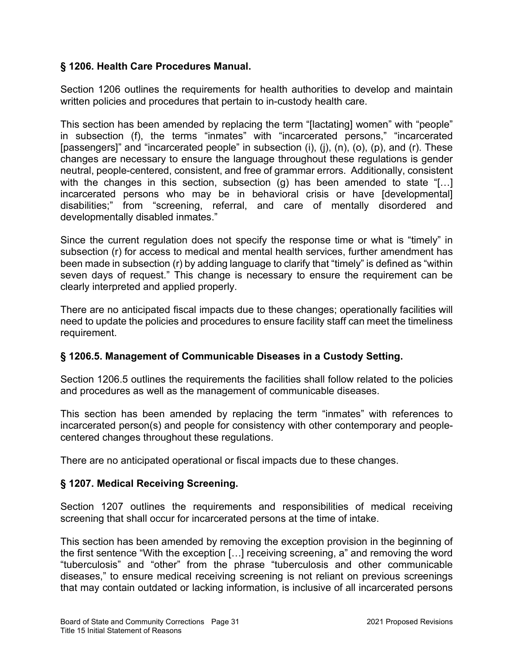## § 1206. Health Care Procedures Manual.

Section 1206 outlines the requirements for health authorities to develop and maintain written policies and procedures that pertain to in-custody health care.

This section has been amended by replacing the term "[lactating] women" with "people" in subsection (f), the terms "inmates" with "incarcerated persons," "incarcerated [passengers]" and "incarcerated people" in subsection (i), (j), (n), (o), (p), and (r). These changes are necessary to ensure the language throughout these regulations is gender neutral, people-centered, consistent, and free of grammar errors. Additionally, consistent with the changes in this section, subsection (g) has been amended to state "[...] incarcerated persons who may be in behavioral crisis or have [developmental] disabilities;" from "screening, referral, and care of mentally disordered and developmentally disabled inmates."

Since the current regulation does not specify the response time or what is "timely" in subsection (r) for access to medical and mental health services, further amendment has been made in subsection (r) by adding language to clarify that "timely" is defined as "within seven days of request." This change is necessary to ensure the requirement can be clearly interpreted and applied properly.

There are no anticipated fiscal impacts due to these changes; operationally facilities will need to update the policies and procedures to ensure facility staff can meet the timeliness requirement.

## § 1206.5. Management of Communicable Diseases in a Custody Setting.

Section 1206.5 outlines the requirements the facilities shall follow related to the policies and procedures as well as the management of communicable diseases.

This section has been amended by replacing the term "inmates" with references to incarcerated person(s) and people for consistency with other contemporary and peoplecentered changes throughout these regulations.

There are no anticipated operational or fiscal impacts due to these changes.

## § 1207. Medical Receiving Screening.

Section 1207 outlines the requirements and responsibilities of medical receiving screening that shall occur for incarcerated persons at the time of intake.

This section has been amended by removing the exception provision in the beginning of the first sentence "With the exception […] receiving screening, a" and removing the word "tuberculosis" and "other" from the phrase "tuberculosis and other communicable diseases," to ensure medical receiving screening is not reliant on previous screenings that may contain outdated or lacking information, is inclusive of all incarcerated persons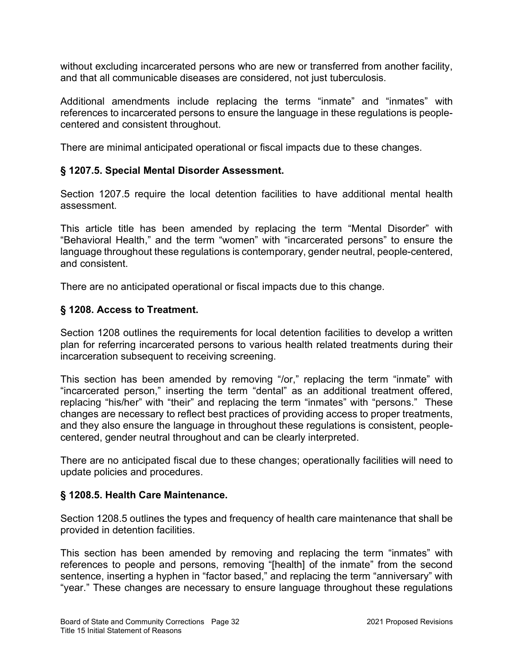without excluding incarcerated persons who are new or transferred from another facility, and that all communicable diseases are considered, not just tuberculosis.

Additional amendments include replacing the terms "inmate" and "inmates" with references to incarcerated persons to ensure the language in these regulations is peoplecentered and consistent throughout.

There are minimal anticipated operational or fiscal impacts due to these changes.

## § 1207.5. Special Mental Disorder Assessment.

Section 1207.5 require the local detention facilities to have additional mental health assessment.

This article title has been amended by replacing the term "Mental Disorder" with "Behavioral Health," and the term "women" with "incarcerated persons" to ensure the language throughout these regulations is contemporary, gender neutral, people-centered, and consistent.

There are no anticipated operational or fiscal impacts due to this change.

## § 1208. Access to Treatment.

Section 1208 outlines the requirements for local detention facilities to develop a written plan for referring incarcerated persons to various health related treatments during their incarceration subsequent to receiving screening.

This section has been amended by removing "/or," replacing the term "inmate" with "incarcerated person," inserting the term "dental" as an additional treatment offered, replacing "his/her" with "their" and replacing the term "inmates" with "persons." These changes are necessary to reflect best practices of providing access to proper treatments, and they also ensure the language in throughout these regulations is consistent, peoplecentered, gender neutral throughout and can be clearly interpreted.

There are no anticipated fiscal due to these changes; operationally facilities will need to update policies and procedures.

## § 1208.5. Health Care Maintenance.

Section 1208.5 outlines the types and frequency of health care maintenance that shall be provided in detention facilities.

This section has been amended by removing and replacing the term "inmates" with references to people and persons, removing "[health] of the inmate" from the second sentence, inserting a hyphen in "factor based," and replacing the term "anniversary" with "year." These changes are necessary to ensure language throughout these regulations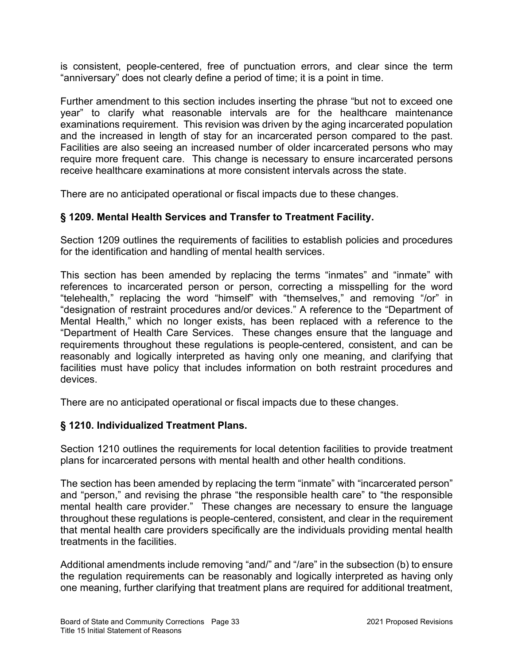is consistent, people-centered, free of punctuation errors, and clear since the term "anniversary" does not clearly define a period of time; it is a point in time.

Further amendment to this section includes inserting the phrase "but not to exceed one year" to clarify what reasonable intervals are for the healthcare maintenance examinations requirement. This revision was driven by the aging incarcerated population and the increased in length of stay for an incarcerated person compared to the past. Facilities are also seeing an increased number of older incarcerated persons who may require more frequent care. This change is necessary to ensure incarcerated persons receive healthcare examinations at more consistent intervals across the state.

There are no anticipated operational or fiscal impacts due to these changes.

## § 1209. Mental Health Services and Transfer to Treatment Facility.

Section 1209 outlines the requirements of facilities to establish policies and procedures for the identification and handling of mental health services.

This section has been amended by replacing the terms "inmates" and "inmate" with references to incarcerated person or person, correcting a misspelling for the word "telehealth," replacing the word "himself" with "themselves," and removing "/or" in "designation of restraint procedures and/or devices." A reference to the "Department of Mental Health," which no longer exists, has been replaced with a reference to the "Department of Health Care Services. These changes ensure that the language and requirements throughout these regulations is people-centered, consistent, and can be reasonably and logically interpreted as having only one meaning, and clarifying that facilities must have policy that includes information on both restraint procedures and devices.

There are no anticipated operational or fiscal impacts due to these changes.

### § 1210. Individualized Treatment Plans.

Section 1210 outlines the requirements for local detention facilities to provide treatment plans for incarcerated persons with mental health and other health conditions.

The section has been amended by replacing the term "inmate" with "incarcerated person" and "person," and revising the phrase "the responsible health care" to "the responsible mental health care provider." These changes are necessary to ensure the language throughout these regulations is people-centered, consistent, and clear in the requirement that mental health care providers specifically are the individuals providing mental health treatments in the facilities.

Additional amendments include removing "and/" and "/are" in the subsection (b) to ensure the regulation requirements can be reasonably and logically interpreted as having only one meaning, further clarifying that treatment plans are required for additional treatment,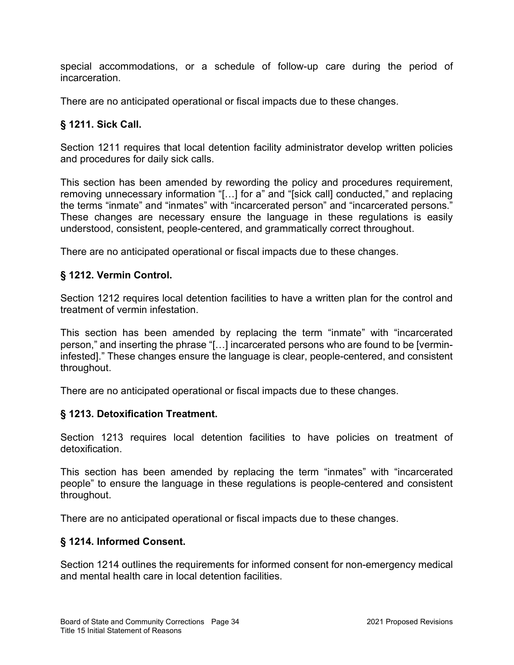special accommodations, or a schedule of follow-up care during the period of incarceration.

There are no anticipated operational or fiscal impacts due to these changes.

# § 1211. Sick Call.

Section 1211 requires that local detention facility administrator develop written policies and procedures for daily sick calls.

This section has been amended by rewording the policy and procedures requirement, removing unnecessary information "[…] for a" and "[sick call] conducted," and replacing the terms "inmate" and "inmates" with "incarcerated person" and "incarcerated persons." These changes are necessary ensure the language in these regulations is easily understood, consistent, people-centered, and grammatically correct throughout.

There are no anticipated operational or fiscal impacts due to these changes.

## § 1212. Vermin Control.

Section 1212 requires local detention facilities to have a written plan for the control and treatment of vermin infestation.

This section has been amended by replacing the term "inmate" with "incarcerated person," and inserting the phrase "[…] incarcerated persons who are found to be [vermininfested]." These changes ensure the language is clear, people-centered, and consistent throughout.

There are no anticipated operational or fiscal impacts due to these changes.

## § 1213. Detoxification Treatment.

Section 1213 requires local detention facilities to have policies on treatment of detoxification.

This section has been amended by replacing the term "inmates" with "incarcerated people" to ensure the language in these regulations is people-centered and consistent throughout.

There are no anticipated operational or fiscal impacts due to these changes.

### § 1214. Informed Consent.

Section 1214 outlines the requirements for informed consent for non-emergency medical and mental health care in local detention facilities.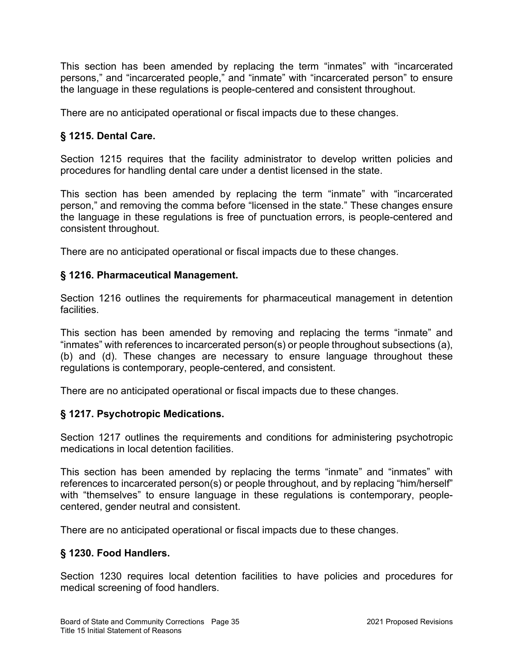This section has been amended by replacing the term "inmates" with "incarcerated persons," and "incarcerated people," and "inmate" with "incarcerated person" to ensure the language in these regulations is people-centered and consistent throughout.

There are no anticipated operational or fiscal impacts due to these changes.

# § 1215. Dental Care.

Section 1215 requires that the facility administrator to develop written policies and procedures for handling dental care under a dentist licensed in the state.

This section has been amended by replacing the term "inmate" with "incarcerated person," and removing the comma before "licensed in the state." These changes ensure the language in these regulations is free of punctuation errors, is people-centered and consistent throughout.

There are no anticipated operational or fiscal impacts due to these changes.

### § 1216. Pharmaceutical Management.

Section 1216 outlines the requirements for pharmaceutical management in detention facilities.

This section has been amended by removing and replacing the terms "inmate" and "inmates" with references to incarcerated person(s) or people throughout subsections (a), (b) and (d). These changes are necessary to ensure language throughout these regulations is contemporary, people-centered, and consistent.

There are no anticipated operational or fiscal impacts due to these changes.

## § 1217. Psychotropic Medications.

Section 1217 outlines the requirements and conditions for administering psychotropic medications in local detention facilities.

This section has been amended by replacing the terms "inmate" and "inmates" with references to incarcerated person(s) or people throughout, and by replacing "him/herself" with "themselves" to ensure language in these regulations is contemporary, peoplecentered, gender neutral and consistent.

There are no anticipated operational or fiscal impacts due to these changes.

## § 1230. Food Handlers.

Section 1230 requires local detention facilities to have policies and procedures for medical screening of food handlers.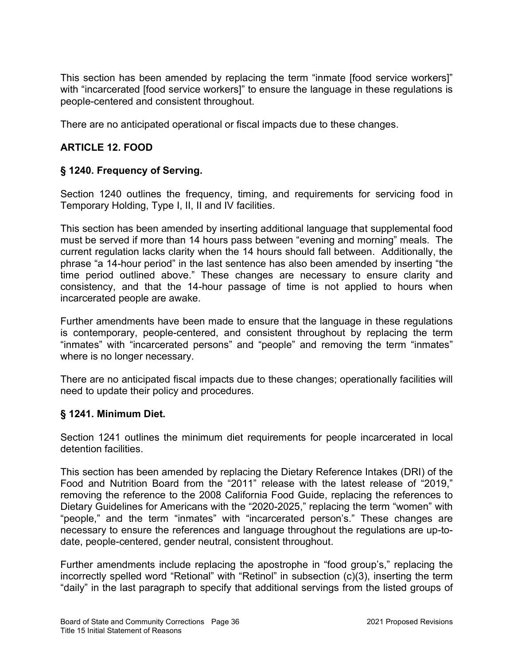This section has been amended by replacing the term "inmate [food service workers]" with "incarcerated [food service workers]" to ensure the language in these regulations is people-centered and consistent throughout.

There are no anticipated operational or fiscal impacts due to these changes.

# ARTICLE 12. FOOD

## § 1240. Frequency of Serving.

Section 1240 outlines the frequency, timing, and requirements for servicing food in Temporary Holding, Type I, II, II and IV facilities.

This section has been amended by inserting additional language that supplemental food must be served if more than 14 hours pass between "evening and morning" meals. The current regulation lacks clarity when the 14 hours should fall between. Additionally, the phrase "a 14-hour period" in the last sentence has also been amended by inserting "the time period outlined above." These changes are necessary to ensure clarity and consistency, and that the 14-hour passage of time is not applied to hours when incarcerated people are awake.

Further amendments have been made to ensure that the language in these regulations is contemporary, people-centered, and consistent throughout by replacing the term "inmates" with "incarcerated persons" and "people" and removing the term "inmates" where is no longer necessary.

There are no anticipated fiscal impacts due to these changes; operationally facilities will need to update their policy and procedures.

### § 1241. Minimum Diet.

Section 1241 outlines the minimum diet requirements for people incarcerated in local detention facilities.

This section has been amended by replacing the Dietary Reference Intakes (DRI) of the Food and Nutrition Board from the "2011" release with the latest release of "2019," removing the reference to the 2008 California Food Guide, replacing the references to Dietary Guidelines for Americans with the "2020-2025," replacing the term "women" with "people," and the term "inmates" with "incarcerated person's." These changes are necessary to ensure the references and language throughout the regulations are up-todate, people-centered, gender neutral, consistent throughout.

Further amendments include replacing the apostrophe in "food group's," replacing the incorrectly spelled word "Retional" with "Retinol" in subsection (c)(3), inserting the term "daily" in the last paragraph to specify that additional servings from the listed groups of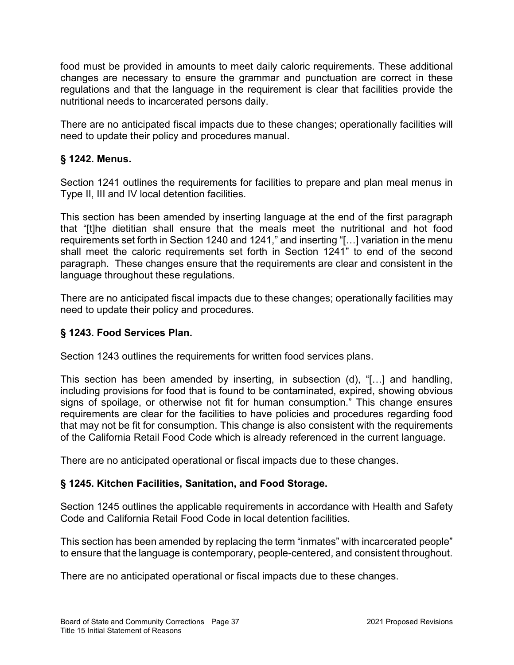food must be provided in amounts to meet daily caloric requirements. These additional changes are necessary to ensure the grammar and punctuation are correct in these regulations and that the language in the requirement is clear that facilities provide the nutritional needs to incarcerated persons daily.

There are no anticipated fiscal impacts due to these changes; operationally facilities will need to update their policy and procedures manual.

# § 1242. Menus.

Section 1241 outlines the requirements for facilities to prepare and plan meal menus in Type II, III and IV local detention facilities.

This section has been amended by inserting language at the end of the first paragraph that "[t]he dietitian shall ensure that the meals meet the nutritional and hot food requirements set forth in Section 1240 and 1241," and inserting "[…] variation in the menu shall meet the caloric requirements set forth in Section 1241" to end of the second paragraph. These changes ensure that the requirements are clear and consistent in the language throughout these regulations.

There are no anticipated fiscal impacts due to these changes; operationally facilities may need to update their policy and procedures.

### § 1243. Food Services Plan.

Section 1243 outlines the requirements for written food services plans.

This section has been amended by inserting, in subsection (d), "[…] and handling, including provisions for food that is found to be contaminated, expired, showing obvious signs of spoilage, or otherwise not fit for human consumption." This change ensures requirements are clear for the facilities to have policies and procedures regarding food that may not be fit for consumption. This change is also consistent with the requirements of the California Retail Food Code which is already referenced in the current language.

There are no anticipated operational or fiscal impacts due to these changes.

## § 1245. Kitchen Facilities, Sanitation, and Food Storage.

Section 1245 outlines the applicable requirements in accordance with Health and Safety Code and California Retail Food Code in local detention facilities.

This section has been amended by replacing the term "inmates" with incarcerated people" to ensure that the language is contemporary, people-centered, and consistent throughout.

There are no anticipated operational or fiscal impacts due to these changes.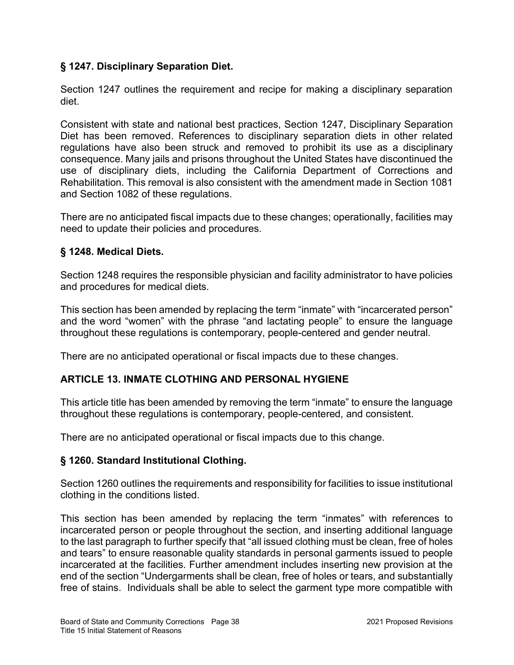## § 1247. Disciplinary Separation Diet.

Section 1247 outlines the requirement and recipe for making a disciplinary separation diet.

Consistent with state and national best practices, Section 1247, Disciplinary Separation Diet has been removed. References to disciplinary separation diets in other related regulations have also been struck and removed to prohibit its use as a disciplinary consequence. Many jails and prisons throughout the United States have discontinued the use of disciplinary diets, including the California Department of Corrections and Rehabilitation. This removal is also consistent with the amendment made in Section 1081 and Section 1082 of these regulations.

There are no anticipated fiscal impacts due to these changes; operationally, facilities may need to update their policies and procedures.

## § 1248. Medical Diets.

Section 1248 requires the responsible physician and facility administrator to have policies and procedures for medical diets.

This section has been amended by replacing the term "inmate" with "incarcerated person" and the word "women" with the phrase "and lactating people" to ensure the language throughout these regulations is contemporary, people-centered and gender neutral.

There are no anticipated operational or fiscal impacts due to these changes.

## ARTICLE 13. INMATE CLOTHING AND PERSONAL HYGIENE

This article title has been amended by removing the term "inmate" to ensure the language throughout these regulations is contemporary, people-centered, and consistent.

There are no anticipated operational or fiscal impacts due to this change.

### § 1260. Standard Institutional Clothing.

Section 1260 outlines the requirements and responsibility for facilities to issue institutional clothing in the conditions listed.

This section has been amended by replacing the term "inmates" with references to incarcerated person or people throughout the section, and inserting additional language to the last paragraph to further specify that "all issued clothing must be clean, free of holes and tears" to ensure reasonable quality standards in personal garments issued to people incarcerated at the facilities. Further amendment includes inserting new provision at the end of the section "Undergarments shall be clean, free of holes or tears, and substantially free of stains. Individuals shall be able to select the garment type more compatible with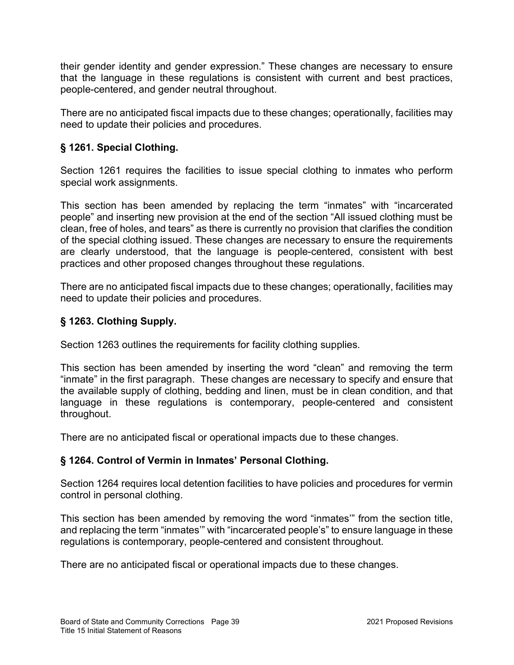their gender identity and gender expression." These changes are necessary to ensure that the language in these regulations is consistent with current and best practices, people-centered, and gender neutral throughout.

There are no anticipated fiscal impacts due to these changes; operationally, facilities may need to update their policies and procedures.

# § 1261. Special Clothing.

Section 1261 requires the facilities to issue special clothing to inmates who perform special work assignments.

This section has been amended by replacing the term "inmates" with "incarcerated people" and inserting new provision at the end of the section "All issued clothing must be clean, free of holes, and tears" as there is currently no provision that clarifies the condition of the special clothing issued. These changes are necessary to ensure the requirements are clearly understood, that the language is people-centered, consistent with best practices and other proposed changes throughout these regulations.

There are no anticipated fiscal impacts due to these changes; operationally, facilities may need to update their policies and procedures.

## § 1263. Clothing Supply.

Section 1263 outlines the requirements for facility clothing supplies.

This section has been amended by inserting the word "clean" and removing the term "inmate" in the first paragraph. These changes are necessary to specify and ensure that the available supply of clothing, bedding and linen, must be in clean condition, and that language in these regulations is contemporary, people-centered and consistent throughout.

There are no anticipated fiscal or operational impacts due to these changes.

## § 1264. Control of Vermin in Inmates' Personal Clothing.

Section 1264 requires local detention facilities to have policies and procedures for vermin control in personal clothing.

This section has been amended by removing the word "inmates'" from the section title, and replacing the term "inmates'" with "incarcerated people's" to ensure language in these regulations is contemporary, people-centered and consistent throughout.

There are no anticipated fiscal or operational impacts due to these changes.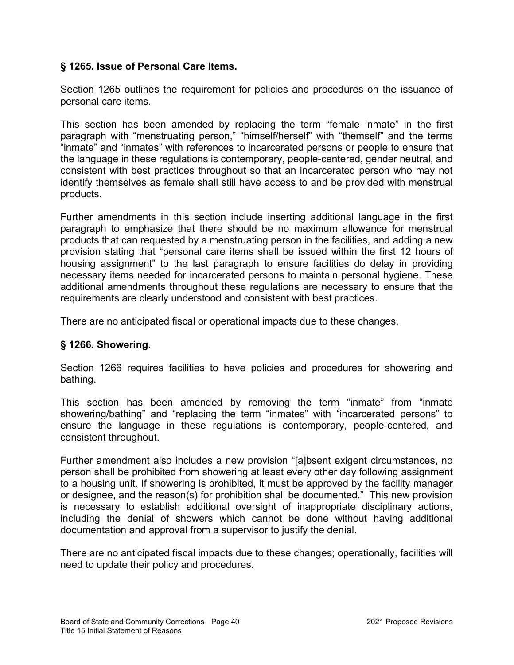## § 1265. Issue of Personal Care Items.

Section 1265 outlines the requirement for policies and procedures on the issuance of personal care items.

This section has been amended by replacing the term "female inmate" in the first paragraph with "menstruating person," "himself/herself" with "themself" and the terms "inmate" and "inmates" with references to incarcerated persons or people to ensure that the language in these regulations is contemporary, people-centered, gender neutral, and consistent with best practices throughout so that an incarcerated person who may not identify themselves as female shall still have access to and be provided with menstrual products.

Further amendments in this section include inserting additional language in the first paragraph to emphasize that there should be no maximum allowance for menstrual products that can requested by a menstruating person in the facilities, and adding a new provision stating that "personal care items shall be issued within the first 12 hours of housing assignment" to the last paragraph to ensure facilities do delay in providing necessary items needed for incarcerated persons to maintain personal hygiene. These additional amendments throughout these regulations are necessary to ensure that the requirements are clearly understood and consistent with best practices.

There are no anticipated fiscal or operational impacts due to these changes.

### § 1266. Showering.

Section 1266 requires facilities to have policies and procedures for showering and bathing.

This section has been amended by removing the term "inmate" from "inmate showering/bathing" and "replacing the term "inmates" with "incarcerated persons" to ensure the language in these regulations is contemporary, people-centered, and consistent throughout.

Further amendment also includes a new provision "[a]bsent exigent circumstances, no person shall be prohibited from showering at least every other day following assignment to a housing unit. If showering is prohibited, it must be approved by the facility manager or designee, and the reason(s) for prohibition shall be documented." This new provision is necessary to establish additional oversight of inappropriate disciplinary actions, including the denial of showers which cannot be done without having additional documentation and approval from a supervisor to justify the denial.

There are no anticipated fiscal impacts due to these changes; operationally, facilities will need to update their policy and procedures.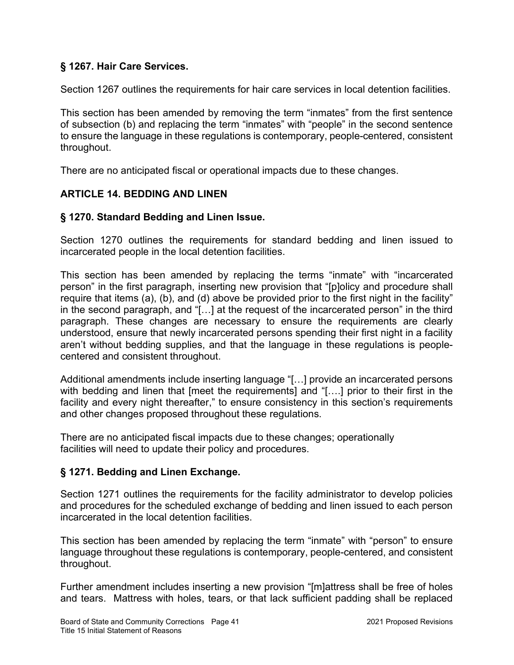## § 1267. Hair Care Services.

Section 1267 outlines the requirements for hair care services in local detention facilities.

This section has been amended by removing the term "inmates" from the first sentence of subsection (b) and replacing the term "inmates" with "people" in the second sentence to ensure the language in these regulations is contemporary, people-centered, consistent throughout.

There are no anticipated fiscal or operational impacts due to these changes.

### ARTICLE 14. BEDDING AND LINEN

### § 1270. Standard Bedding and Linen Issue.

Section 1270 outlines the requirements for standard bedding and linen issued to incarcerated people in the local detention facilities.

This section has been amended by replacing the terms "inmate" with "incarcerated person" in the first paragraph, inserting new provision that "[p]olicy and procedure shall require that items (a), (b), and (d) above be provided prior to the first night in the facility" in the second paragraph, and "[…] at the request of the incarcerated person" in the third paragraph. These changes are necessary to ensure the requirements are clearly understood, ensure that newly incarcerated persons spending their first night in a facility aren't without bedding supplies, and that the language in these regulations is peoplecentered and consistent throughout.

Additional amendments include inserting language "[…] provide an incarcerated persons with bedding and linen that [meet the requirements] and "[...] prior to their first in the facility and every night thereafter," to ensure consistency in this section's requirements and other changes proposed throughout these regulations.

There are no anticipated fiscal impacts due to these changes; operationally facilities will need to update their policy and procedures.

### § 1271. Bedding and Linen Exchange.

Section 1271 outlines the requirements for the facility administrator to develop policies and procedures for the scheduled exchange of bedding and linen issued to each person incarcerated in the local detention facilities.

This section has been amended by replacing the term "inmate" with "person" to ensure language throughout these regulations is contemporary, people-centered, and consistent throughout.

Further amendment includes inserting a new provision "[m]attress shall be free of holes and tears. Mattress with holes, tears, or that lack sufficient padding shall be replaced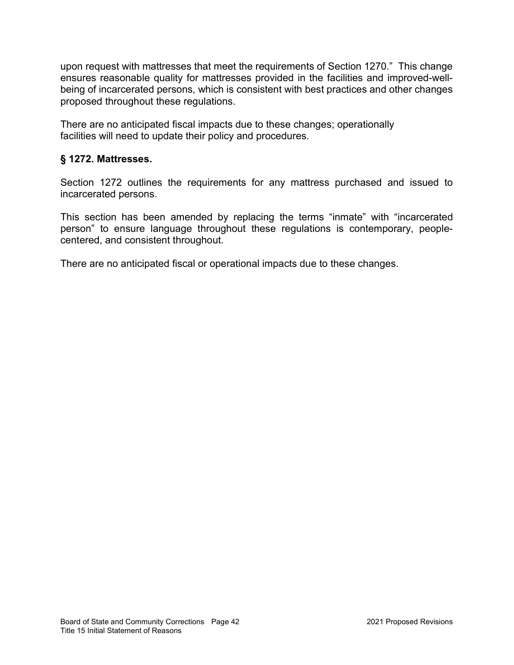upon request with mattresses that meet the requirements of Section 1270." This change ensures reasonable quality for mattresses provided in the facilities and improved-wellbeing of incarcerated persons, which is consistent with best practices and other changes proposed throughout these regulations.

There are no anticipated fiscal impacts due to these changes; operationally facilities will need to update their policy and procedures.

## § 1272. Mattresses.

Section 1272 outlines the requirements for any mattress purchased and issued to incarcerated persons.

This section has been amended by replacing the terms "inmate" with "incarcerated person" to ensure language throughout these regulations is contemporary, peoplecentered, and consistent throughout.

There are no anticipated fiscal or operational impacts due to these changes.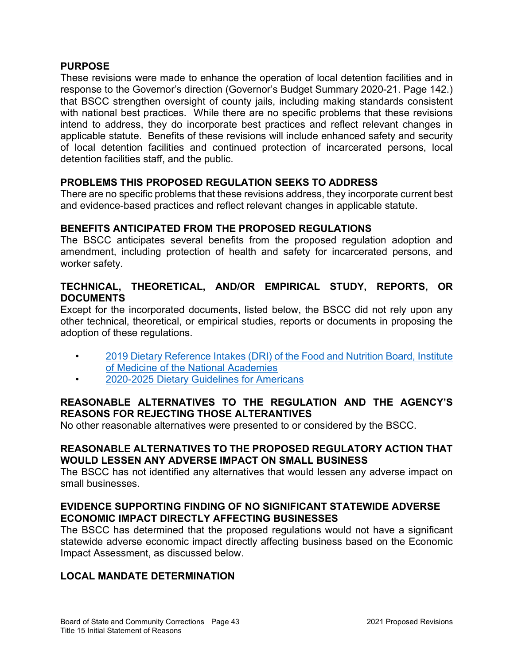#### PURPOSE

These revisions were made to enhance the operation of local detention facilities and in response to the Governor's direction (Governor's Budget Summary 2020-21. Page 142.) that BSCC strengthen oversight of county jails, including making standards consistent with national best practices. While there are no specific problems that these revisions intend to address, they do incorporate best practices and reflect relevant changes in applicable statute. Benefits of these revisions will include enhanced safety and security of local detention facilities and continued protection of incarcerated persons, local detention facilities staff, and the public.

#### PROBLEMS THIS PROPOSED REGULATION SEEKS TO ADDRESS

There are no specific problems that these revisions address, they incorporate current best and evidence-based practices and reflect relevant changes in applicable statute.

#### BENEFITS ANTICIPATED FROM THE PROPOSED REGULATIONS

The BSCC anticipates several benefits from the proposed regulation adoption and amendment, including protection of health and safety for incarcerated persons, and worker safety.

#### TECHNICAL, THEORETICAL, AND/OR EMPIRICAL STUDY, REPORTS, OR **DOCUMENTS**

Except for the incorporated documents, listed below, the BSCC did not rely upon any other technical, theoretical, or empirical studies, reports or documents in proposing the adoption of these regulations.

- 2019 Dietary Reference Intakes (DRI) of the Food and Nutrition Board, Institute of Medicine of the National Academies
- 2020-2025 Dietary Guidelines for Americans

### REASONABLE ALTERNATIVES TO THE REGULATION AND THE AGENCY'S REASONS FOR REJECTING THOSE ALTERANTIVES

No other reasonable alternatives were presented to or considered by the BSCC.

### REASONABLE ALTERNATIVES TO THE PROPOSED REGULATORY ACTION THAT WOULD LESSEN ANY ADVERSE IMPACT ON SMALL BUSINESS

The BSCC has not identified any alternatives that would lessen any adverse impact on small businesses.

### EVIDENCE SUPPORTING FINDING OF NO SIGNIFICANT STATEWIDE ADVERSE ECONOMIC IMPACT DIRECTLY AFFECTING BUSINESSES

The BSCC has determined that the proposed regulations would not have a significant statewide adverse economic impact directly affecting business based on the Economic Impact Assessment, as discussed below.

### LOCAL MANDATE DETERMINATION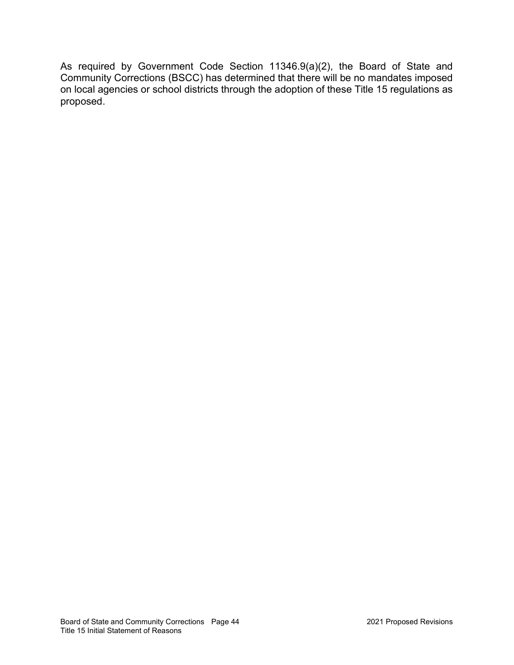As required by Government Code Section 11346.9(a)(2), the Board of State and Community Corrections (BSCC) has determined that there will be no mandates imposed on local agencies or school districts through the adoption of these Title 15 regulations as proposed.